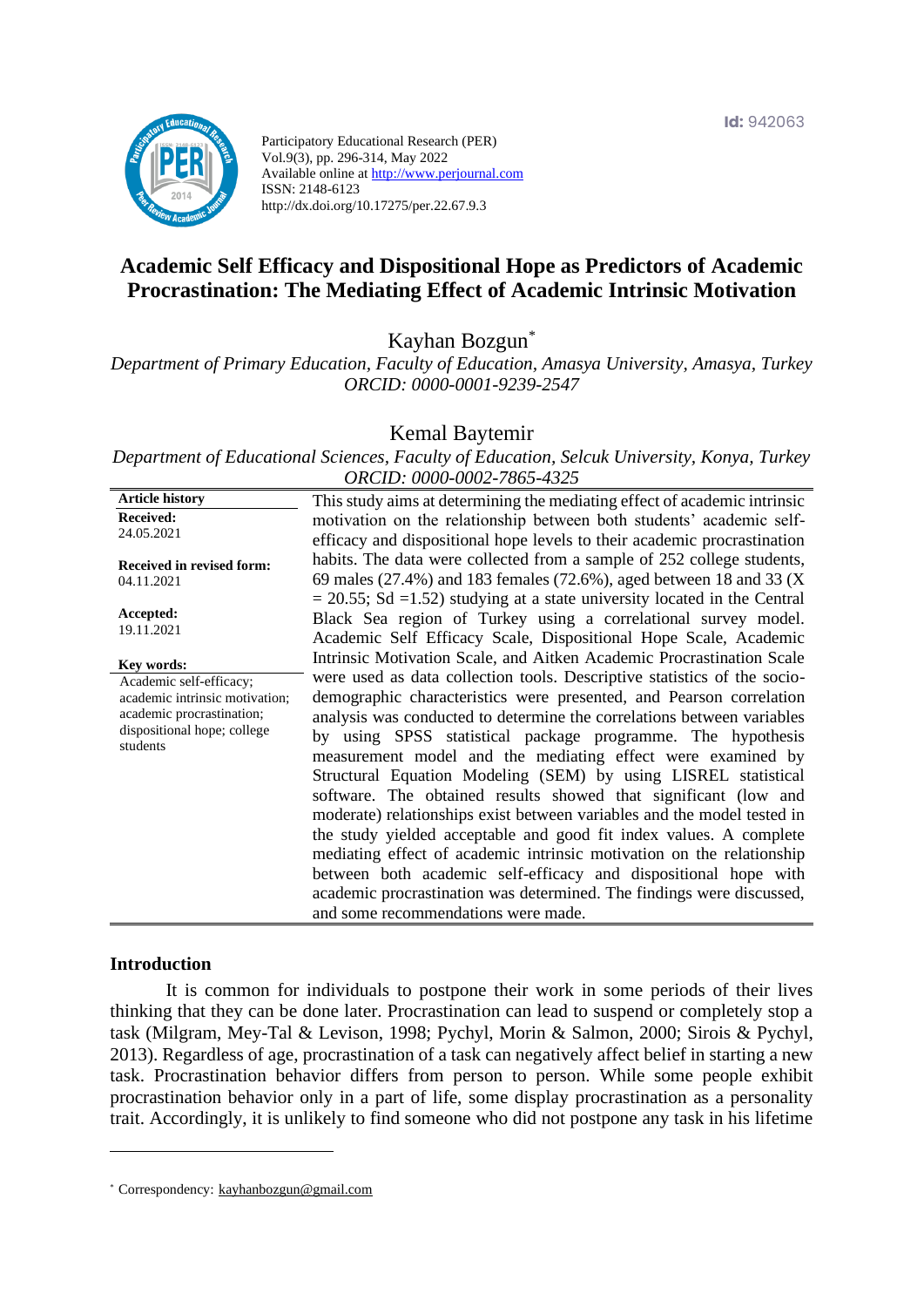

Participatory Educational Research (PER) Vol.9(3), pp. 296-314, May 2022 Available online at http://www.perjournal.com ISSN: 2148-6123 http://dx.doi.org/10.17275/per.22.67.9.3

# **Academic Self Efficacy and Dispositional Hope as Predictors of Academic Procrastination: The Mediating Effect of Academic Intrinsic Motivation**

Kayhan Bozgun\*

*Department of Primary Education, Faculty of Education, Amasya University, Amasya, Turkey ORCID: 0000-0001-9239-2547*

#### Kemal Baytemir

*Department of Educational Sciences, Faculty of Education, Selcuk University, Konya, Turkey ORCID: 0000-0002-7865-4325*

| <b>Article history</b>                                                                                                            | This study aims at determining the mediating effect of academic intrinsic                                                                                                                                                                                                                                                                                                                                                                                                                                                                                                                                                                                                                                                                                                                                                                                                                                 |
|-----------------------------------------------------------------------------------------------------------------------------------|-----------------------------------------------------------------------------------------------------------------------------------------------------------------------------------------------------------------------------------------------------------------------------------------------------------------------------------------------------------------------------------------------------------------------------------------------------------------------------------------------------------------------------------------------------------------------------------------------------------------------------------------------------------------------------------------------------------------------------------------------------------------------------------------------------------------------------------------------------------------------------------------------------------|
| <b>Received:</b>                                                                                                                  | motivation on the relationship between both students' academic self-                                                                                                                                                                                                                                                                                                                                                                                                                                                                                                                                                                                                                                                                                                                                                                                                                                      |
| 24.05.2021                                                                                                                        | efficacy and dispositional hope levels to their academic procrastination                                                                                                                                                                                                                                                                                                                                                                                                                                                                                                                                                                                                                                                                                                                                                                                                                                  |
| Received in revised form:                                                                                                         | habits. The data were collected from a sample of 252 college students,                                                                                                                                                                                                                                                                                                                                                                                                                                                                                                                                                                                                                                                                                                                                                                                                                                    |
| 04.11.2021                                                                                                                        | 69 males (27.4%) and 183 females (72.6%), aged between 18 and 33 (X                                                                                                                                                                                                                                                                                                                                                                                                                                                                                                                                                                                                                                                                                                                                                                                                                                       |
| Accepted:<br>19.11.2021                                                                                                           | $=$ 20.55; Sd =1.52) studying at a state university located in the Central<br>Black Sea region of Turkey using a correlational survey model.<br>Academic Self Efficacy Scale, Dispositional Hope Scale, Academic                                                                                                                                                                                                                                                                                                                                                                                                                                                                                                                                                                                                                                                                                          |
| Key words:                                                                                                                        | Intrinsic Motivation Scale, and Aitken Academic Procrastination Scale                                                                                                                                                                                                                                                                                                                                                                                                                                                                                                                                                                                                                                                                                                                                                                                                                                     |
| Academic self-efficacy;<br>academic intrinsic motivation;<br>academic procrastination;<br>dispositional hope; college<br>students | were used as data collection tools. Descriptive statistics of the socio-<br>demographic characteristics were presented, and Pearson correlation<br>analysis was conducted to determine the correlations between variables<br>by using SPSS statistical package programme. The hypothesis<br>measurement model and the mediating effect were examined by<br>Structural Equation Modeling (SEM) by using LISREL statistical<br>software. The obtained results showed that significant (low and<br>moderate) relationships exist between variables and the model tested in<br>the study yielded acceptable and good fit index values. A complete<br>mediating effect of academic intrinsic motivation on the relationship<br>between both academic self-efficacy and dispositional hope with<br>academic procrastination was determined. The findings were discussed,<br>and some recommendations were made. |

#### **Introduction**

It is common for individuals to postpone their work in some periods of their lives thinking that they can be done later. Procrastination can lead to suspend or completely stop a task (Milgram, Mey-Tal & Levison, 1998; Pychyl, Morin & Salmon, 2000; Sirois & Pychyl, 2013). Regardless of age, procrastination of a task can negatively affect belief in starting a new task. Procrastination behavior differs from person to person. While some people exhibit procrastination behavior only in a part of life, some display procrastination as a personality trait. Accordingly, it is unlikely to find someone who did not postpone any task in his lifetime

<sup>\*</sup> [Correspondency:](mailto:Correspondency:) [kayhanbozgun@gmail.com](mailto:kayhanbozgun@gmail.com)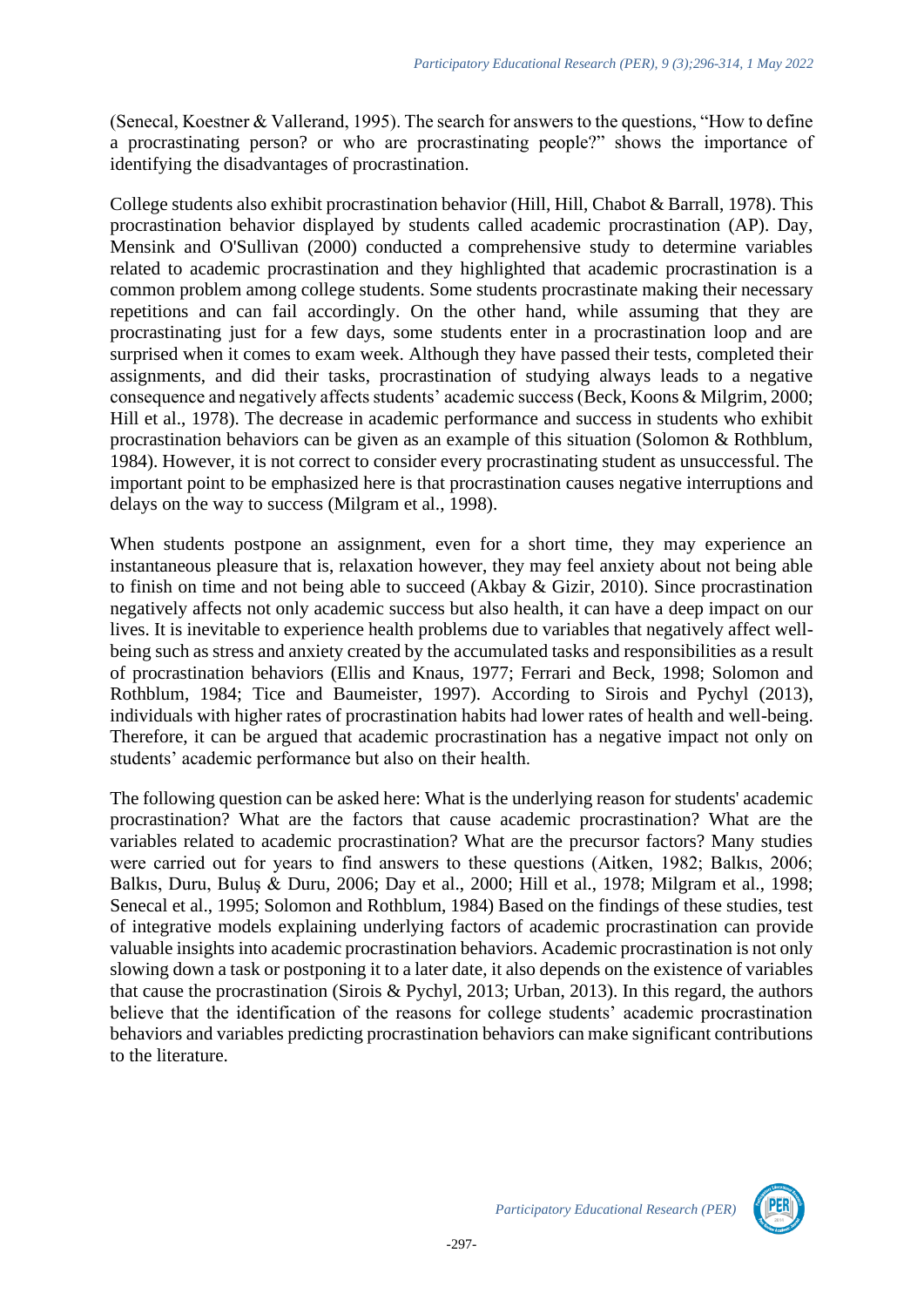(Senecal, Koestner & Vallerand, 1995). The search for answers to the questions, "How to define a procrastinating person? or who are procrastinating people?" shows the importance of identifying the disadvantages of procrastination.

College students also exhibit procrastination behavior (Hill, Hill, Chabot & Barrall, 1978). This procrastination behavior displayed by students called academic procrastination (AP). Day, Mensink and O'Sullivan (2000) conducted a comprehensive study to determine variables related to academic procrastination and they highlighted that academic procrastination is a common problem among college students. Some students procrastinate making their necessary repetitions and can fail accordingly. On the other hand, while assuming that they are procrastinating just for a few days, some students enter in a procrastination loop and are surprised when it comes to exam week. Although they have passed their tests, completed their assignments, and did their tasks, procrastination of studying always leads to a negative consequence and negatively affects students' academic success (Beck, Koons & Milgrim, 2000; Hill et al., 1978). The decrease in academic performance and success in students who exhibit procrastination behaviors can be given as an example of this situation (Solomon & Rothblum, 1984). However, it is not correct to consider every procrastinating student as unsuccessful. The important point to be emphasized here is that procrastination causes negative interruptions and delays on the way to success (Milgram et al., 1998).

When students postpone an assignment, even for a short time, they may experience an instantaneous pleasure that is, relaxation however, they may feel anxiety about not being able to finish on time and not being able to succeed (Akbay & Gizir, 2010). Since procrastination negatively affects not only academic success but also health, it can have a deep impact on our lives. It is inevitable to experience health problems due to variables that negatively affect wellbeing such as stress and anxiety created by the accumulated tasks and responsibilities as a result of procrastination behaviors (Ellis and Knaus, 1977; Ferrari and Beck, 1998; Solomon and Rothblum, 1984; Tice and Baumeister, 1997). According to Sirois and Pychyl (2013), individuals with higher rates of procrastination habits had lower rates of health and well-being. Therefore, it can be argued that academic procrastination has a negative impact not only on students' academic performance but also on their health.

The following question can be asked here: What is the underlying reason for students' academic procrastination? What are the factors that cause academic procrastination? What are the variables related to academic procrastination? What are the precursor factors? Many studies were carried out for years to find answers to these questions (Aitken, 1982; Balkıs, 2006; Balkıs, Duru, Buluş & Duru, 2006; Day et al., 2000; Hill et al., 1978; Milgram et al., 1998; Senecal et al., 1995; Solomon and Rothblum, 1984) Based on the findings of these studies, test of integrative models explaining underlying factors of academic procrastination can provide valuable insights into academic procrastination behaviors. Academic procrastination is not only slowing down a task or postponing it to a later date, it also depends on the existence of variables that cause the procrastination (Sirois & Pychyl, 2013; Urban, 2013). In this regard, the authors believe that the identification of the reasons for college students' academic procrastination behaviors and variables predicting procrastination behaviors can make significant contributions to the literature.

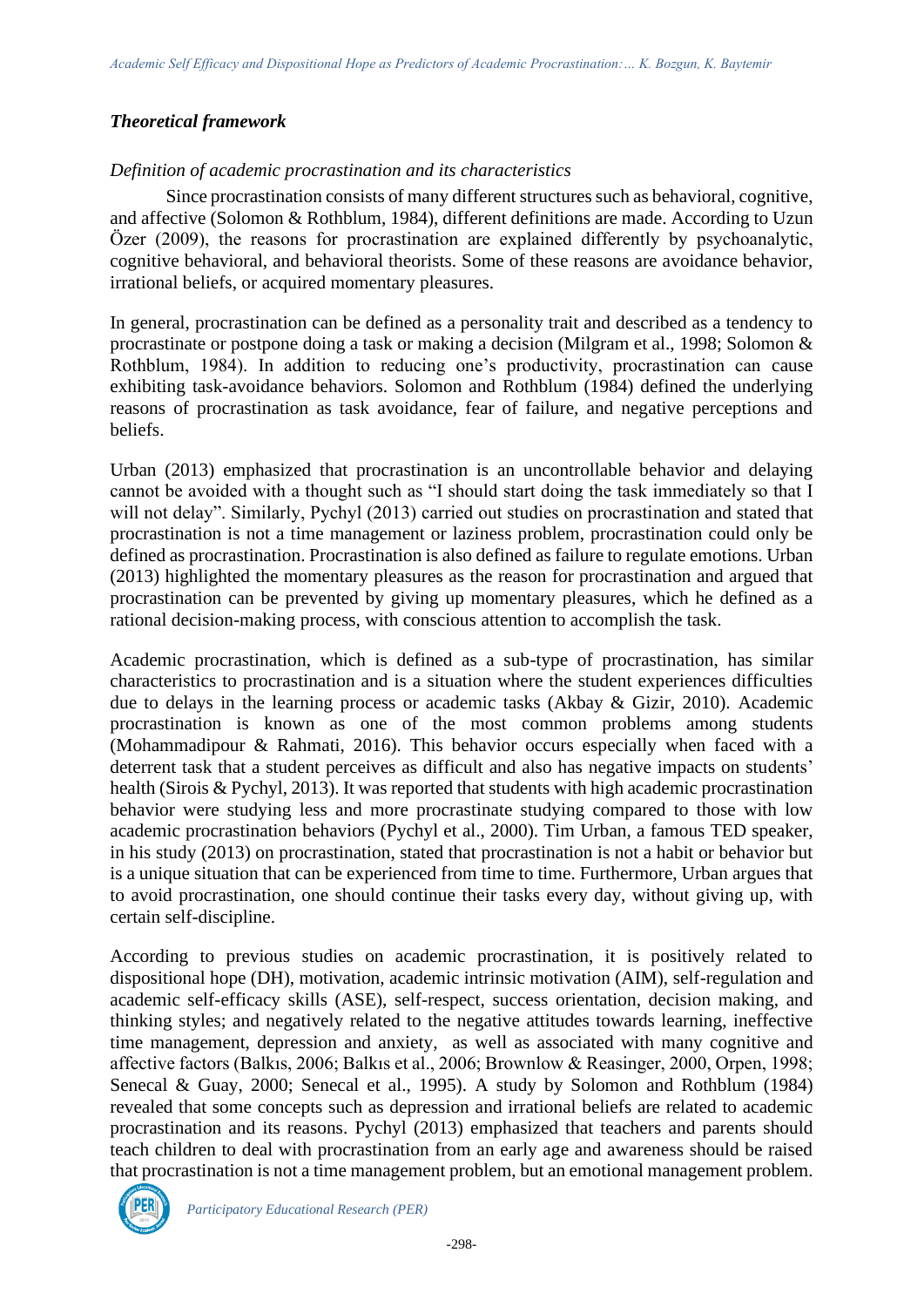## *Theoretical framework*

## *Definition of academic procrastination and its characteristics*

Since procrastination consists of many different structures such as behavioral, cognitive, and affective (Solomon & Rothblum, 1984), different definitions are made. According to Uzun Özer (2009), the reasons for procrastination are explained differently by psychoanalytic, cognitive behavioral, and behavioral theorists. Some of these reasons are avoidance behavior, irrational beliefs, or acquired momentary pleasures.

In general, procrastination can be defined as a personality trait and described as a tendency to procrastinate or postpone doing a task or making a decision (Milgram et al., 1998; Solomon & Rothblum, 1984). In addition to reducing one's productivity, procrastination can cause exhibiting task-avoidance behaviors. Solomon and Rothblum (1984) defined the underlying reasons of procrastination as task avoidance, fear of failure, and negative perceptions and beliefs.

Urban (2013) emphasized that procrastination is an uncontrollable behavior and delaying cannot be avoided with a thought such as "I should start doing the task immediately so that I will not delay". Similarly, Pychyl (2013) carried out studies on procrastination and stated that procrastination is not a time management or laziness problem, procrastination could only be defined as procrastination. Procrastination is also defined as failure to regulate emotions. Urban (2013) highlighted the momentary pleasures as the reason for procrastination and argued that procrastination can be prevented by giving up momentary pleasures, which he defined as a rational decision-making process, with conscious attention to accomplish the task.

Academic procrastination, which is defined as a sub-type of procrastination, has similar characteristics to procrastination and is a situation where the student experiences difficulties due to delays in the learning process or academic tasks (Akbay & Gizir, 2010). Academic procrastination is known as one of the most common problems among students (Mohammadipour & Rahmati, 2016). This behavior occurs especially when faced with a deterrent task that a student perceives as difficult and also has negative impacts on students' health (Sirois & Pychyl, 2013). It was reported that students with high academic procrastination behavior were studying less and more procrastinate studying compared to those with low academic procrastination behaviors (Pychyl et al., 2000). Tim Urban, a famous TED speaker, in his study (2013) on procrastination, stated that procrastination is not a habit or behavior but is a unique situation that can be experienced from time to time. Furthermore, Urban argues that to avoid procrastination, one should continue their tasks every day, without giving up, with certain self-discipline.

According to previous studies on academic procrastination, it is positively related to dispositional hope (DH), motivation, academic intrinsic motivation (AIM), self-regulation and academic self-efficacy skills (ASE), self-respect, success orientation, decision making, and thinking styles; and negatively related to the negative attitudes towards learning, ineffective time management, depression and anxiety, as well as associated with many cognitive and affective factors (Balkıs, 2006; Balkıs et al., 2006; Brownlow & Reasinger, 2000, Orpen, 1998; Senecal & Guay, 2000; Senecal et al., 1995). A study by Solomon and Rothblum (1984) revealed that some concepts such as depression and irrational beliefs are related to academic procrastination and its reasons. Pychyl (2013) emphasized that teachers and parents should teach children to deal with procrastination from an early age and awareness should be raised that procrastination is not a time management problem, but an emotional management problem.

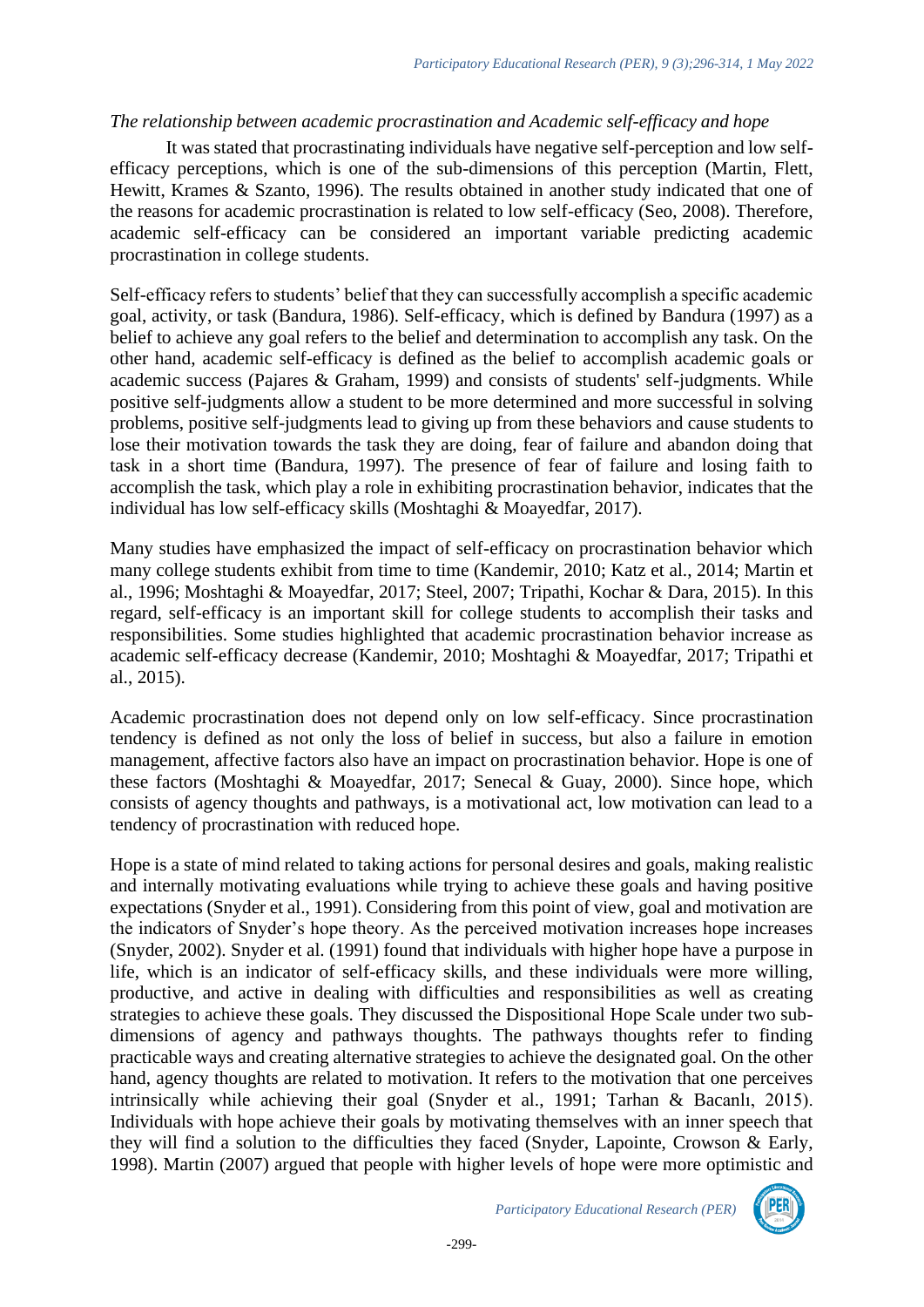### *The relationship between academic procrastination and Academic self-efficacy and hope*

It was stated that procrastinating individuals have negative self-perception and low selfefficacy perceptions, which is one of the sub-dimensions of this perception (Martin, Flett, Hewitt, Krames & Szanto, 1996). The results obtained in another study indicated that one of the reasons for academic procrastination is related to low self-efficacy (Seo, 2008). Therefore, academic self-efficacy can be considered an important variable predicting academic procrastination in college students.

Self-efficacy refers to students' belief that they can successfully accomplish a specific academic goal, activity, or task (Bandura, 1986). Self-efficacy, which is defined by Bandura (1997) as a belief to achieve any goal refers to the belief and determination to accomplish any task. On the other hand, academic self-efficacy is defined as the belief to accomplish academic goals or academic success (Pajares & Graham, 1999) and consists of students' self-judgments. While positive self-judgments allow a student to be more determined and more successful in solving problems, positive self-judgments lead to giving up from these behaviors and cause students to lose their motivation towards the task they are doing, fear of failure and abandon doing that task in a short time (Bandura, 1997). The presence of fear of failure and losing faith to accomplish the task, which play a role in exhibiting procrastination behavior, indicates that the individual has low self-efficacy skills (Moshtaghi & Moayedfar, 2017).

Many studies have emphasized the impact of self-efficacy on procrastination behavior which many college students exhibit from time to time (Kandemir, 2010; Katz et al., 2014; Martin et al., 1996; Moshtaghi & Moayedfar, 2017; Steel, 2007; Tripathi, Kochar & Dara, 2015). In this regard, self-efficacy is an important skill for college students to accomplish their tasks and responsibilities. Some studies highlighted that academic procrastination behavior increase as academic self-efficacy decrease (Kandemir, 2010; Moshtaghi & Moayedfar, 2017; Tripathi et al., 2015).

Academic procrastination does not depend only on low self-efficacy. Since procrastination tendency is defined as not only the loss of belief in success, but also a failure in emotion management, affective factors also have an impact on procrastination behavior. Hope is one of these factors (Moshtaghi & Moayedfar, 2017; Senecal & Guay, 2000). Since hope, which consists of agency thoughts and pathways, is a motivational act, low motivation can lead to a tendency of procrastination with reduced hope.

Hope is a state of mind related to taking actions for personal desires and goals, making realistic and internally motivating evaluations while trying to achieve these goals and having positive expectations (Snyder et al., 1991). Considering from this point of view, goal and motivation are the indicators of Snyder's hope theory. As the perceived motivation increases hope increases (Snyder, 2002). Snyder et al. (1991) found that individuals with higher hope have a purpose in life, which is an indicator of self-efficacy skills, and these individuals were more willing, productive, and active in dealing with difficulties and responsibilities as well as creating strategies to achieve these goals. They discussed the Dispositional Hope Scale under two subdimensions of agency and pathways thoughts. The pathways thoughts refer to finding practicable ways and creating alternative strategies to achieve the designated goal. On the other hand, agency thoughts are related to motivation. It refers to the motivation that one perceives intrinsically while achieving their goal (Snyder et al., 1991; Tarhan & Bacanlı, 2015). Individuals with hope achieve their goals by motivating themselves with an inner speech that they will find a solution to the difficulties they faced (Snyder, Lapointe, Crowson & Early, 1998). Martin (2007) argued that people with higher levels of hope were more optimistic and

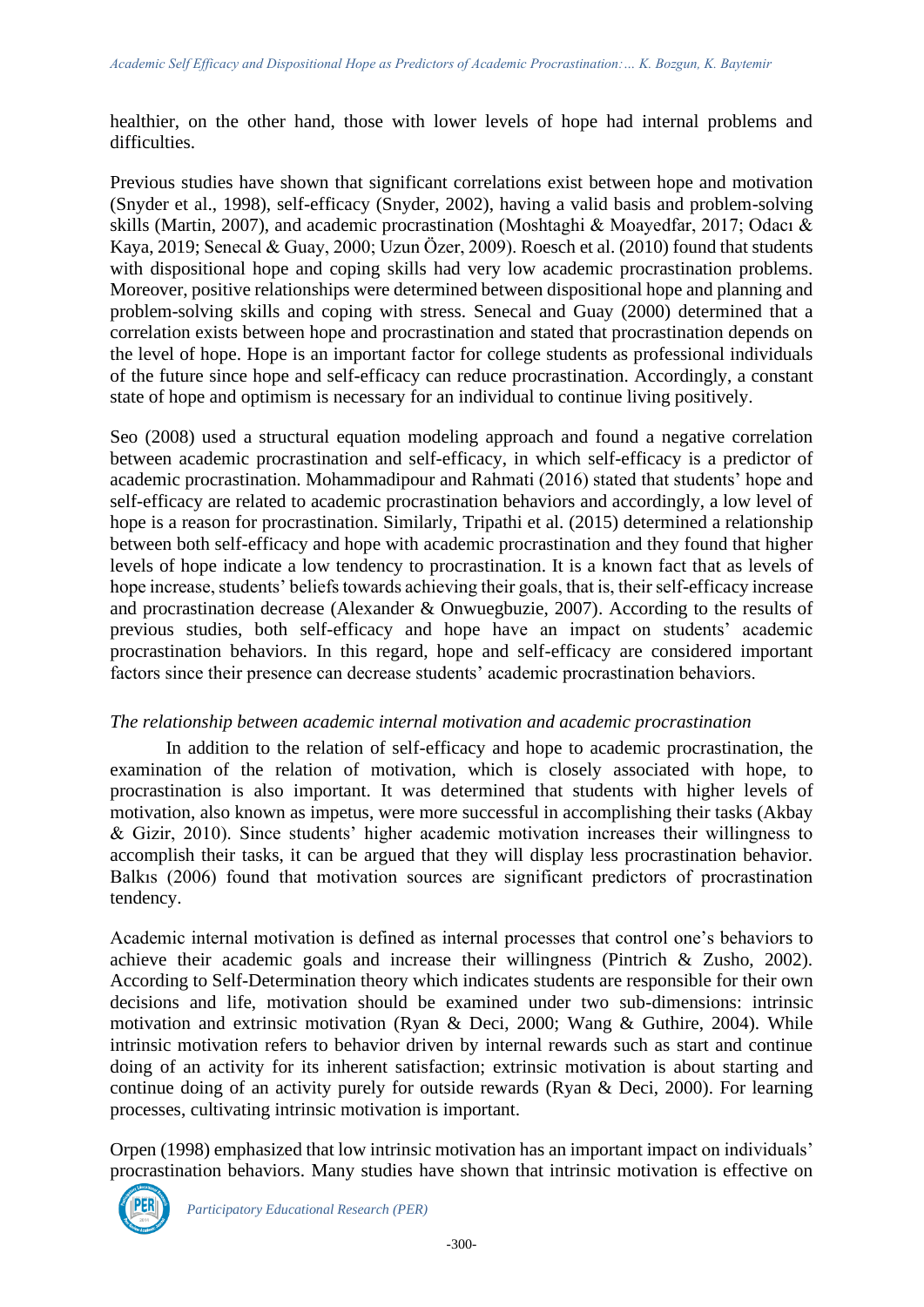healthier, on the other hand, those with lower levels of hope had internal problems and difficulties.

Previous studies have shown that significant correlations exist between hope and motivation (Snyder et al., 1998), self-efficacy (Snyder, 2002), having a valid basis and problem-solving skills (Martin, 2007), and academic procrastination (Moshtaghi & Moayedfar, 2017; Odacı & Kaya, 2019; Senecal & Guay, 2000; Uzun Özer, 2009). Roesch et al. (2010) found that students with dispositional hope and coping skills had very low academic procrastination problems. Moreover, positive relationships were determined between dispositional hope and planning and problem-solving skills and coping with stress. Senecal and Guay (2000) determined that a correlation exists between hope and procrastination and stated that procrastination depends on the level of hope. Hope is an important factor for college students as professional individuals of the future since hope and self-efficacy can reduce procrastination. Accordingly, a constant state of hope and optimism is necessary for an individual to continue living positively.

Seo (2008) used a structural equation modeling approach and found a negative correlation between academic procrastination and self-efficacy, in which self-efficacy is a predictor of academic procrastination. Mohammadipour and Rahmati (2016) stated that students' hope and self-efficacy are related to academic procrastination behaviors and accordingly, a low level of hope is a reason for procrastination. Similarly, Tripathi et al. (2015) determined a relationship between both self-efficacy and hope with academic procrastination and they found that higher levels of hope indicate a low tendency to procrastination. It is a known fact that as levels of hope increase, students' beliefs towards achieving their goals, that is, their self-efficacy increase and procrastination decrease (Alexander & Onwuegbuzie, 2007). According to the results of previous studies, both self-efficacy and hope have an impact on students' academic procrastination behaviors. In this regard, hope and self-efficacy are considered important factors since their presence can decrease students' academic procrastination behaviors.

### *The relationship between academic internal motivation and academic procrastination*

In addition to the relation of self-efficacy and hope to academic procrastination, the examination of the relation of motivation, which is closely associated with hope, to procrastination is also important. It was determined that students with higher levels of motivation, also known as impetus, were more successful in accomplishing their tasks (Akbay & Gizir, 2010). Since students' higher academic motivation increases their willingness to accomplish their tasks, it can be argued that they will display less procrastination behavior. Balkıs (2006) found that motivation sources are significant predictors of procrastination tendency.

Academic internal motivation is defined as internal processes that control one's behaviors to achieve their academic goals and increase their willingness (Pintrich & Zusho, 2002). According to Self-Determination theory which indicates students are responsible for their own decisions and life, motivation should be examined under two sub-dimensions: intrinsic motivation and extrinsic motivation (Ryan & Deci, 2000; Wang & Guthire, 2004). While intrinsic motivation refers to behavior driven by internal rewards such as start and continue doing of an activity for its inherent satisfaction; extrinsic motivation is about starting and continue doing of an activity purely for outside rewards (Ryan & Deci, 2000). For learning processes, cultivating intrinsic motivation is important.

Orpen (1998) emphasized that low intrinsic motivation has an important impact on individuals' procrastination behaviors. Many studies have shown that intrinsic motivation is effective on

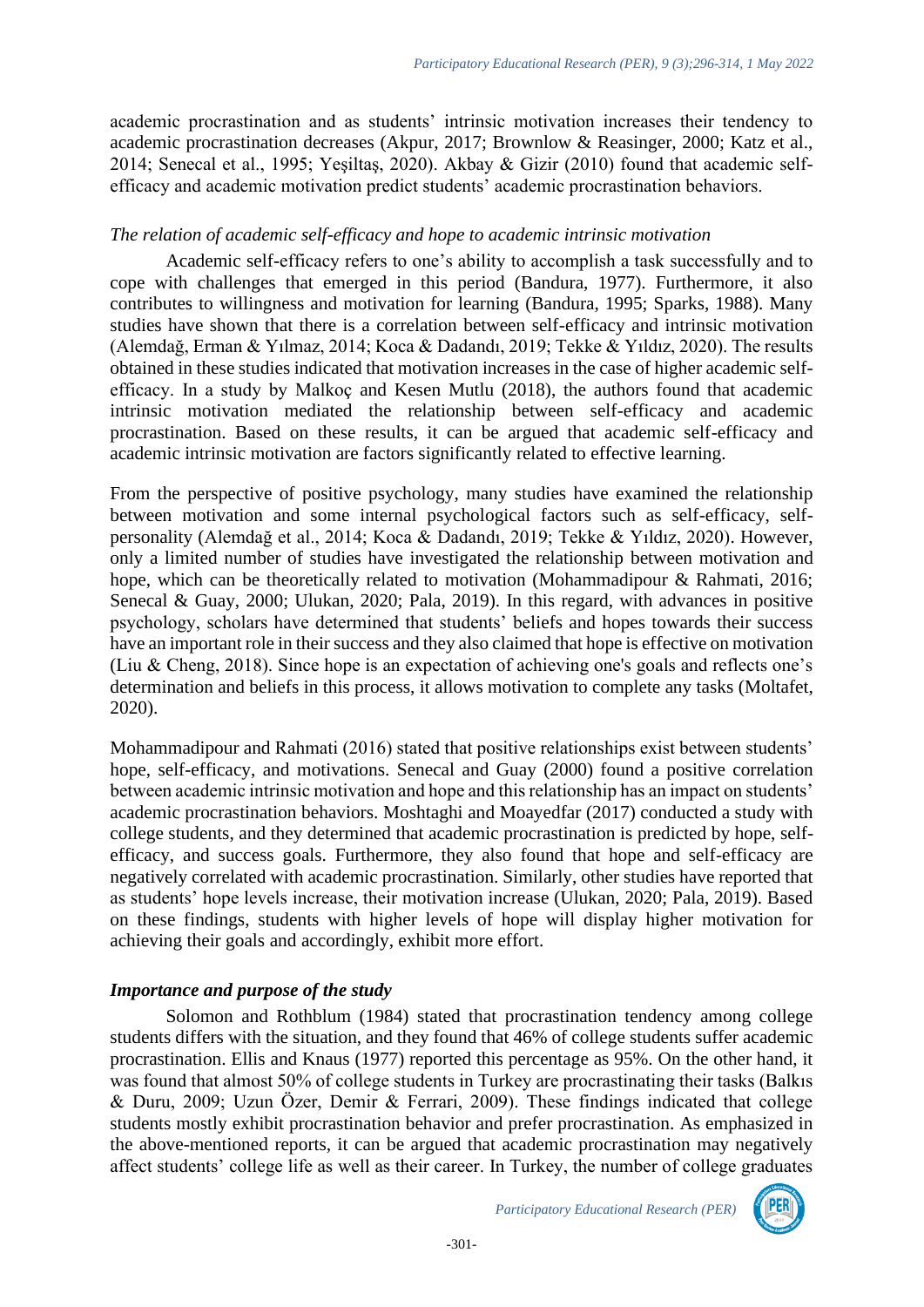academic procrastination and as students' intrinsic motivation increases their tendency to academic procrastination decreases (Akpur, 2017; Brownlow & Reasinger, 2000; Katz et al., 2014; Senecal et al., 1995; Yeşiltaş, 2020). Akbay & Gizir (2010) found that academic selfefficacy and academic motivation predict students' academic procrastination behaviors.

### *The relation of academic self-efficacy and hope to academic intrinsic motivation*

Academic self-efficacy refers to one's ability to accomplish a task successfully and to cope with challenges that emerged in this period (Bandura, 1977). Furthermore, it also contributes to willingness and motivation for learning (Bandura, 1995; Sparks, 1988). Many studies have shown that there is a correlation between self-efficacy and intrinsic motivation (Alemdağ, Erman & Yılmaz, 2014; Koca & Dadandı, 2019; Tekke & Yıldız, 2020). The results obtained in these studies indicated that motivation increases in the case of higher academic selfefficacy. In a study by Malkoç and Kesen Mutlu (2018), the authors found that academic intrinsic motivation mediated the relationship between self-efficacy and academic procrastination. Based on these results, it can be argued that academic self-efficacy and academic intrinsic motivation are factors significantly related to effective learning.

From the perspective of positive psychology, many studies have examined the relationship between motivation and some internal psychological factors such as self-efficacy, selfpersonality (Alemdağ et al., 2014; Koca & Dadandı, 2019; Tekke & Yıldız, 2020). However, only a limited number of studies have investigated the relationship between motivation and hope, which can be theoretically related to motivation (Mohammadipour & Rahmati, 2016; Senecal & Guay, 2000; Ulukan, 2020; Pala, 2019). In this regard, with advances in positive psychology, scholars have determined that students' beliefs and hopes towards their success have an important role in their success and they also claimed that hope is effective on motivation (Liu & Cheng, 2018). Since hope is an expectation of achieving one's goals and reflects one's determination and beliefs in this process, it allows motivation to complete any tasks (Moltafet, 2020).

Mohammadipour and Rahmati (2016) stated that positive relationships exist between students' hope, self-efficacy, and motivations. Senecal and Guay (2000) found a positive correlation between academic intrinsic motivation and hope and this relationship has an impact on students' academic procrastination behaviors. Moshtaghi and Moayedfar (2017) conducted a study with college students, and they determined that academic procrastination is predicted by hope, selfefficacy, and success goals. Furthermore, they also found that hope and self-efficacy are negatively correlated with academic procrastination. Similarly, other studies have reported that as students' hope levels increase, their motivation increase (Ulukan, 2020; Pala, 2019). Based on these findings, students with higher levels of hope will display higher motivation for achieving their goals and accordingly, exhibit more effort.

## *Importance and purpose of the study*

Solomon and Rothblum (1984) stated that procrastination tendency among college students differs with the situation, and they found that 46% of college students suffer academic procrastination. Ellis and Knaus (1977) reported this percentage as 95%. On the other hand, it was found that almost 50% of college students in Turkey are procrastinating their tasks (Balkıs & Duru, 2009; Uzun Özer, Demir & Ferrari, 2009). These findings indicated that college students mostly exhibit procrastination behavior and prefer procrastination. As emphasized in the above-mentioned reports, it can be argued that academic procrastination may negatively affect students' college life as well as their career. In Turkey, the number of college graduates

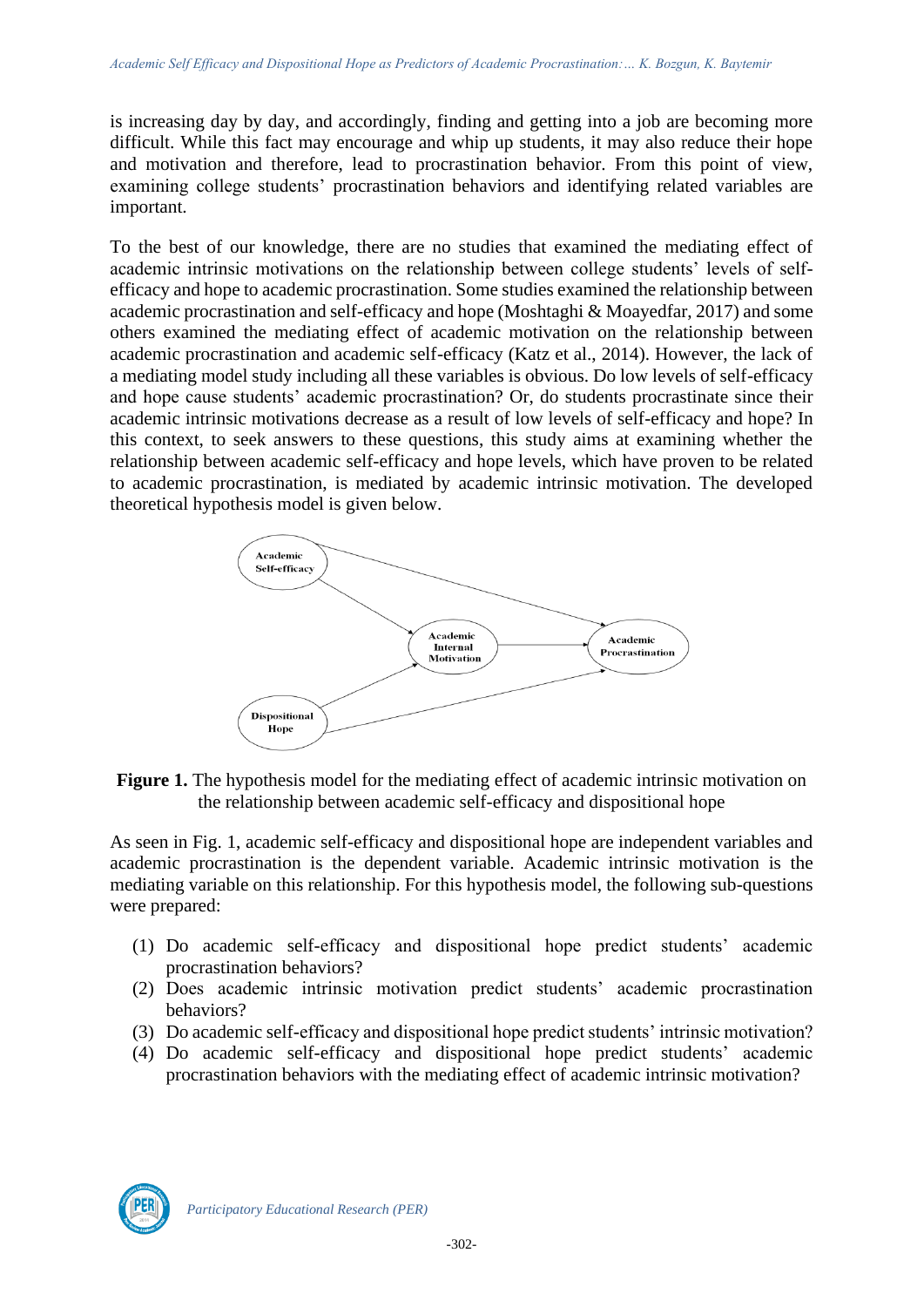is increasing day by day, and accordingly, finding and getting into a job are becoming more difficult. While this fact may encourage and whip up students, it may also reduce their hope and motivation and therefore, lead to procrastination behavior. From this point of view, examining college students' procrastination behaviors and identifying related variables are important.

To the best of our knowledge, there are no studies that examined the mediating effect of academic intrinsic motivations on the relationship between college students' levels of selfefficacy and hope to academic procrastination. Some studies examined the relationship between academic procrastination and self-efficacy and hope (Moshtaghi & Moayedfar, 2017) and some others examined the mediating effect of academic motivation on the relationship between academic procrastination and academic self-efficacy (Katz et al., 2014). However, the lack of a mediating model study including all these variables is obvious. Do low levels of self-efficacy and hope cause students' academic procrastination? Or, do students procrastinate since their academic intrinsic motivations decrease as a result of low levels of self-efficacy and hope? In this context, to seek answers to these questions, this study aims at examining whether the relationship between academic self-efficacy and hope levels, which have proven to be related to academic procrastination, is mediated by academic intrinsic motivation. The developed theoretical hypothesis model is given below.



**Figure 1.** The hypothesis model for the mediating effect of academic intrinsic motivation on the relationship between academic self-efficacy and dispositional hope

As seen in Fig. 1, academic self-efficacy and dispositional hope are independent variables and academic procrastination is the dependent variable. Academic intrinsic motivation is the mediating variable on this relationship. For this hypothesis model, the following sub-questions were prepared:

- (1) Do academic self-efficacy and dispositional hope predict students' academic procrastination behaviors?
- (2) Does academic intrinsic motivation predict students' academic procrastination behaviors?
- (3) Do academic self-efficacy and dispositional hope predict students' intrinsic motivation?
- (4) Do academic self-efficacy and dispositional hope predict students' academic procrastination behaviors with the mediating effect of academic intrinsic motivation?

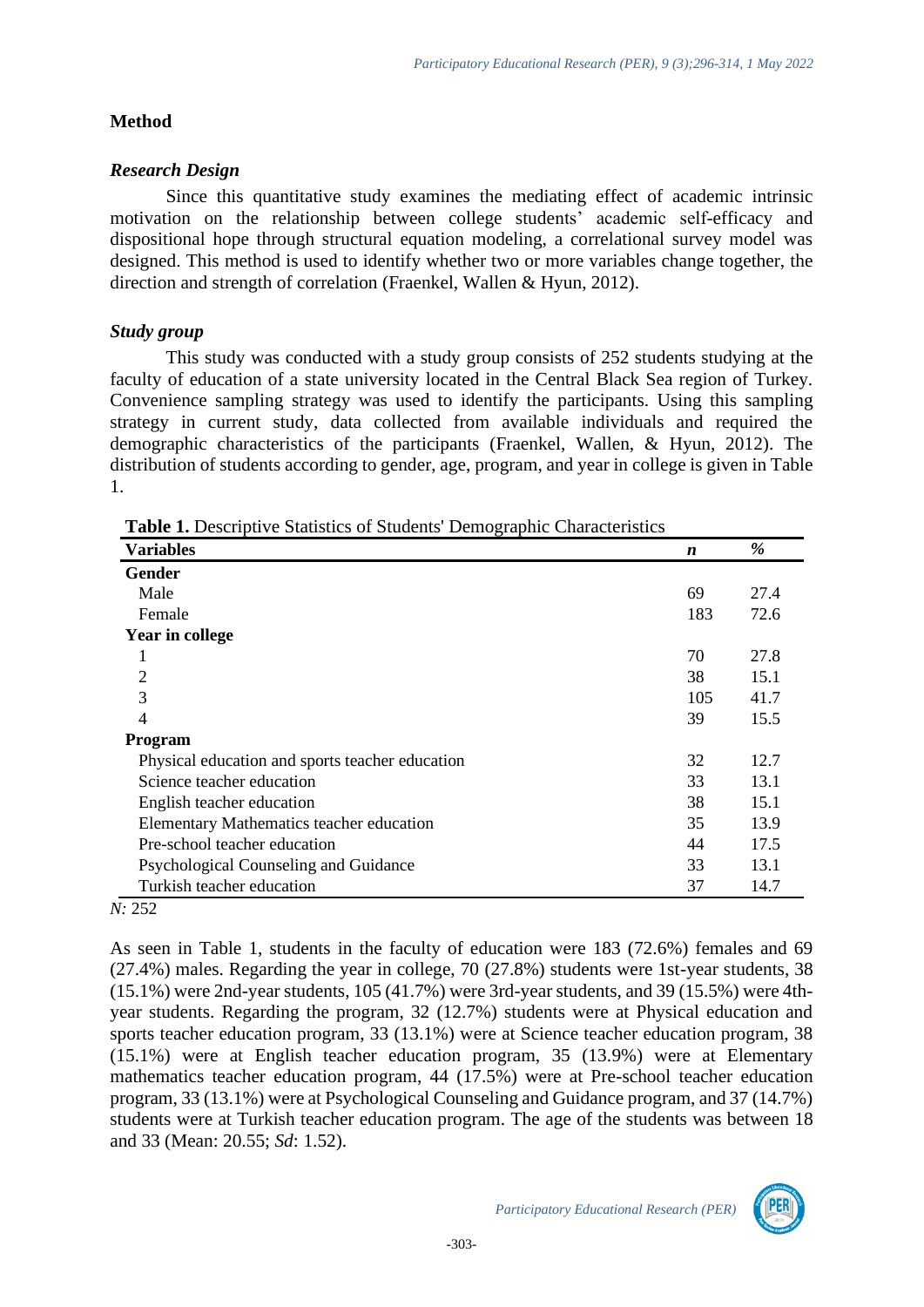## **Method**

## *Research Design*

Since this quantitative study examines the mediating effect of academic intrinsic motivation on the relationship between college students' academic self-efficacy and dispositional hope through structural equation modeling, a correlational survey model was designed. This method is used to identify whether two or more variables change together, the direction and strength of correlation (Fraenkel, Wallen & Hyun, 2012).

# *Study group*

This study was conducted with a study group consists of 252 students studying at the faculty of education of a state university located in the Central Black Sea region of Turkey. Convenience sampling strategy was used to identify the participants. Using this sampling strategy in current study, data collected from available individuals and required the demographic characteristics of the participants (Fraenkel, Wallen, & Hyun, 2012). The distribution of students according to gender, age, program, and year in college is given in Table 1.

| <b>Variables</b>                                | $\boldsymbol{n}$ | %    |
|-------------------------------------------------|------------------|------|
| Gender                                          |                  |      |
| Male                                            | 69               | 27.4 |
| Female                                          | 183              | 72.6 |
| Year in college                                 |                  |      |
| 1                                               | 70               | 27.8 |
| 2                                               | 38               | 15.1 |
| 3                                               | 105              | 41.7 |
| 4                                               | 39               | 15.5 |
| <b>Program</b>                                  |                  |      |
| Physical education and sports teacher education | 32               | 12.7 |
| Science teacher education                       | 33               | 13.1 |
| English teacher education                       | 38               | 15.1 |
| Elementary Mathematics teacher education        | 35               | 13.9 |
| Pre-school teacher education                    | 44               | 17.5 |
| Psychological Counseling and Guidance           | 33               | 13.1 |
| Turkish teacher education                       | 37               | 14.7 |
| 1. つよつ                                          |                  |      |

**Table 1.** Descriptive Statistics of Students' Demographic Characteristics

## *N:* 252

As seen in Table 1, students in the faculty of education were 183 (72.6%) females and 69 (27.4%) males. Regarding the year in college, 70 (27.8%) students were 1st-year students, 38 (15.1%) were 2nd-year students, 105 (41.7%) were 3rd-year students, and 39 (15.5%) were 4thyear students. Regarding the program, 32 (12.7%) students were at Physical education and sports teacher education program, 33 (13.1%) were at Science teacher education program, 38 (15.1%) were at English teacher education program, 35 (13.9%) were at Elementary mathematics teacher education program, 44 (17.5%) were at Pre-school teacher education program, 33 (13.1%) were at Psychological Counseling and Guidance program, and 37 (14.7%) students were at Turkish teacher education program. The age of the students was between 18 and 33 (Mean: 20.55; *Sd*: 1.52).

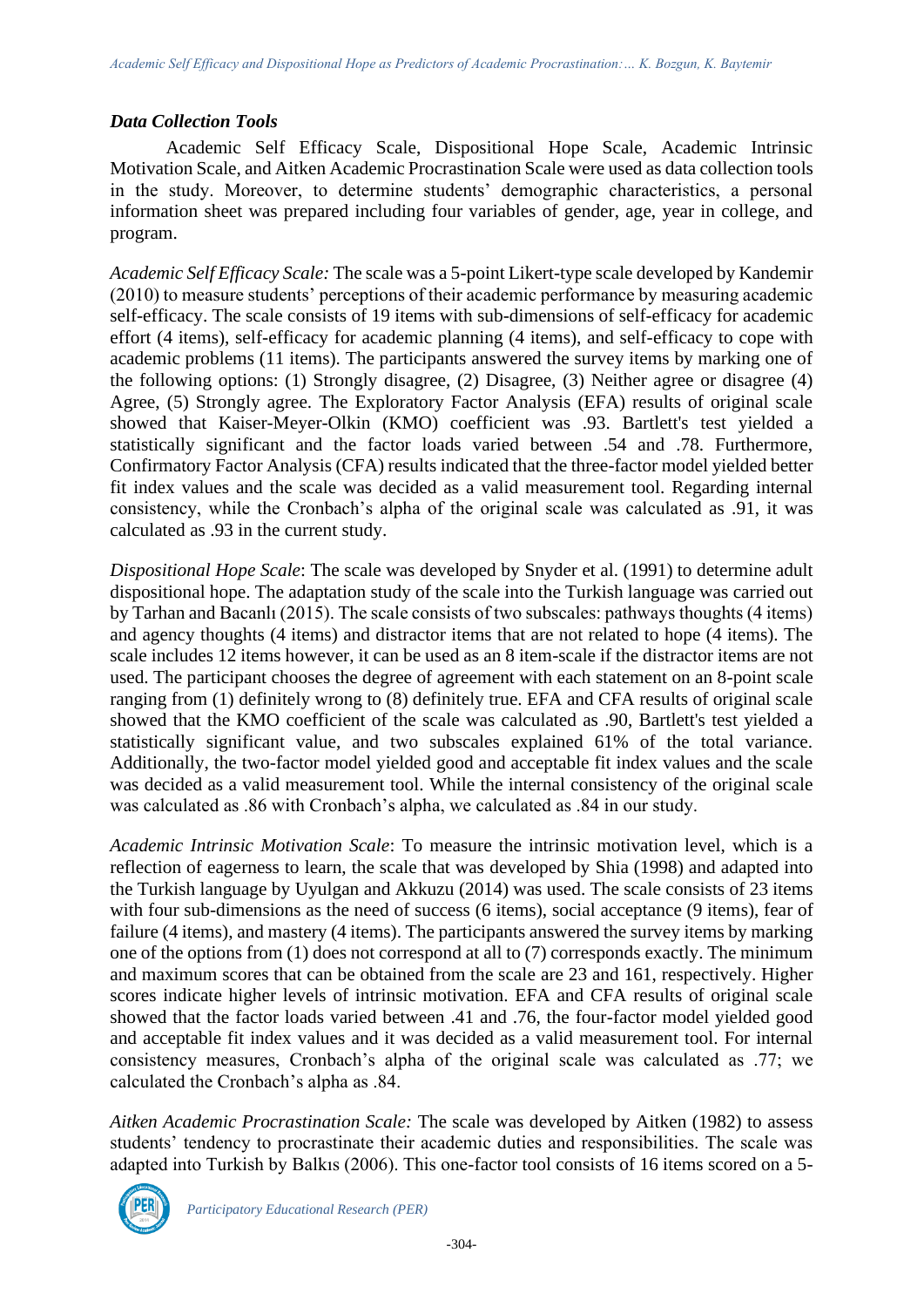## *Data Collection Tools*

Academic Self Efficacy Scale, Dispositional Hope Scale, Academic Intrinsic Motivation Scale, and Aitken Academic Procrastination Scale were used as data collection tools in the study. Moreover, to determine students' demographic characteristics, a personal information sheet was prepared including four variables of gender, age, year in college, and program.

*Academic Self Efficacy Scale:* The scale was a 5-point Likert-type scale developed by Kandemir (2010) to measure students' perceptions of their academic performance by measuring academic self-efficacy. The scale consists of 19 items with sub-dimensions of self-efficacy for academic effort (4 items), self-efficacy for academic planning (4 items), and self-efficacy to cope with academic problems (11 items). The participants answered the survey items by marking one of the following options: (1) Strongly disagree, (2) Disagree, (3) Neither agree or disagree (4) Agree, (5) Strongly agree. The Exploratory Factor Analysis (EFA) results of original scale showed that Kaiser-Meyer-Olkin (KMO) coefficient was .93. Bartlett's test yielded a statistically significant and the factor loads varied between .54 and .78. Furthermore, Confirmatory Factor Analysis (CFA) results indicated that the three-factor model yielded better fit index values and the scale was decided as a valid measurement tool. Regarding internal consistency, while the Cronbach's alpha of the original scale was calculated as .91, it was calculated as .93 in the current study.

*Dispositional Hope Scale*: The scale was developed by Snyder et al. (1991) to determine adult dispositional hope. The adaptation study of the scale into the Turkish language was carried out by Tarhan and Bacanlı (2015). The scale consists of two subscales: pathways thoughts (4 items) and agency thoughts (4 items) and distractor items that are not related to hope (4 items). The scale includes 12 items however, it can be used as an 8 item-scale if the distractor items are not used. The participant chooses the degree of agreement with each statement on an 8-point scale ranging from (1) definitely wrong to (8) definitely true. EFA and CFA results of original scale showed that the KMO coefficient of the scale was calculated as .90, Bartlett's test yielded a statistically significant value, and two subscales explained 61% of the total variance. Additionally, the two-factor model yielded good and acceptable fit index values and the scale was decided as a valid measurement tool. While the internal consistency of the original scale was calculated as .86 with Cronbach's alpha, we calculated as .84 in our study.

*Academic Intrinsic Motivation Scale*: To measure the intrinsic motivation level, which is a reflection of eagerness to learn, the scale that was developed by Shia (1998) and adapted into the Turkish language by Uyulgan and Akkuzu (2014) was used. The scale consists of 23 items with four sub-dimensions as the need of success (6 items), social acceptance (9 items), fear of failure (4 items), and mastery (4 items). The participants answered the survey items by marking one of the options from (1) does not correspond at all to (7) corresponds exactly. The minimum and maximum scores that can be obtained from the scale are 23 and 161, respectively. Higher scores indicate higher levels of intrinsic motivation. EFA and CFA results of original scale showed that the factor loads varied between .41 and .76, the four-factor model yielded good and acceptable fit index values and it was decided as a valid measurement tool. For internal consistency measures, Cronbach's alpha of the original scale was calculated as .77; we calculated the Cronbach's alpha as .84.

*Aitken Academic Procrastination Scale:* The scale was developed by Aitken (1982) to assess students' tendency to procrastinate their academic duties and responsibilities. The scale was adapted into Turkish by Balkıs (2006). This one-factor tool consists of 16 items scored on a 5-

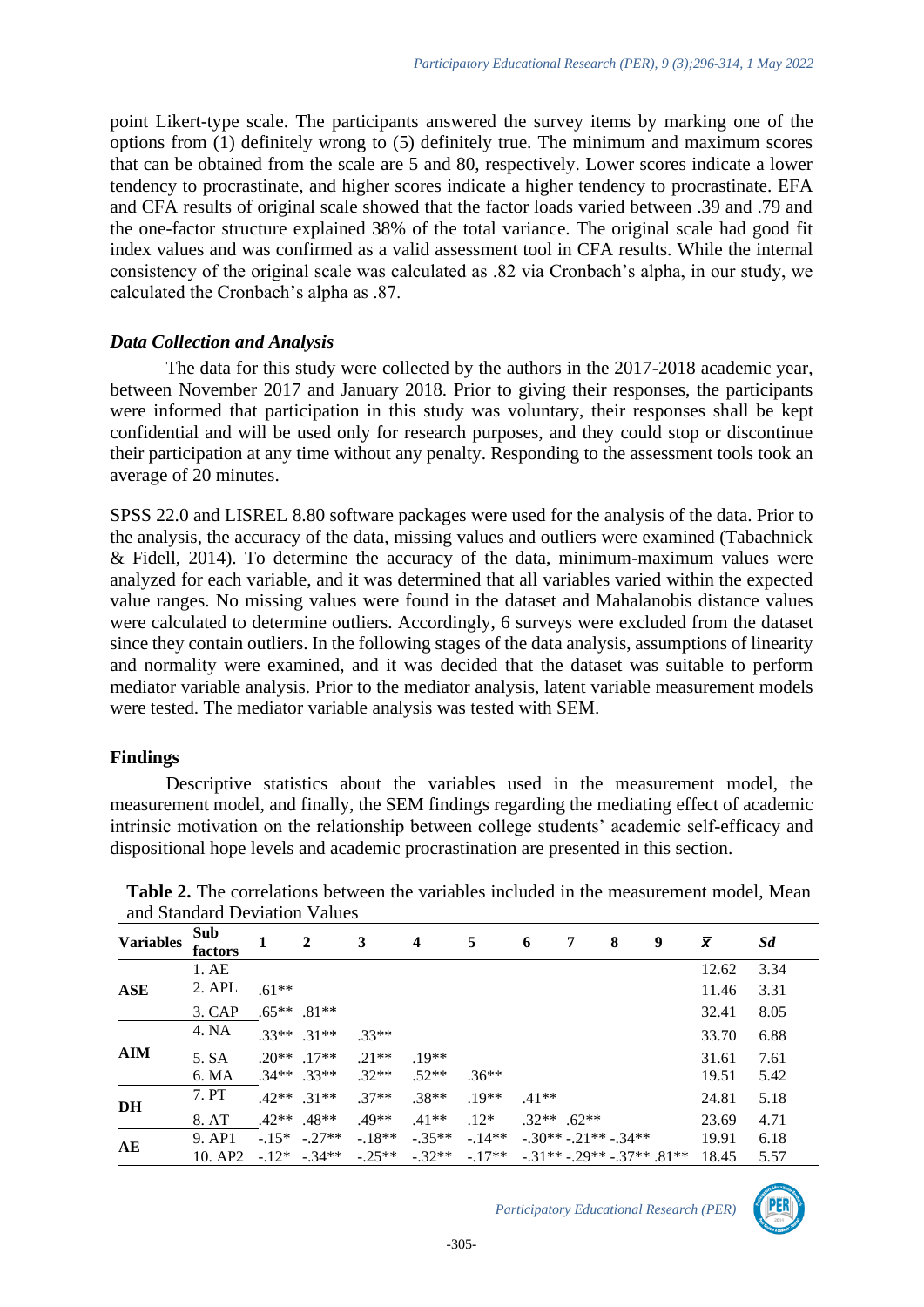point Likert-type scale. The participants answered the survey items by marking one of the options from (1) definitely wrong to (5) definitely true. The minimum and maximum scores that can be obtained from the scale are 5 and 80, respectively. Lower scores indicate a lower tendency to procrastinate, and higher scores indicate a higher tendency to procrastinate. EFA and CFA results of original scale showed that the factor loads varied between .39 and .79 and the one-factor structure explained 38% of the total variance. The original scale had good fit index values and was confirmed as a valid assessment tool in CFA results. While the internal consistency of the original scale was calculated as .82 via Cronbach's alpha, in our study, we calculated the Cronbach's alpha as .87.

## *Data Collection and Analysis*

The data for this study were collected by the authors in the 2017-2018 academic year, between November 2017 and January 2018. Prior to giving their responses, the participants were informed that participation in this study was voluntary, their responses shall be kept confidential and will be used only for research purposes, and they could stop or discontinue their participation at any time without any penalty. Responding to the assessment tools took an average of 20 minutes.

SPSS 22.0 and LISREL 8.80 software packages were used for the analysis of the data. Prior to the analysis, the accuracy of the data, missing values and outliers were examined (Tabachnick & Fidell, 2014). To determine the accuracy of the data, minimum-maximum values were analyzed for each variable, and it was determined that all variables varied within the expected value ranges. No missing values were found in the dataset and Mahalanobis distance values were calculated to determine outliers. Accordingly, 6 surveys were excluded from the dataset since they contain outliers. In the following stages of the data analysis, assumptions of linearity and normality were examined, and it was decided that the dataset was suitable to perform mediator variable analysis. Prior to the mediator analysis, latent variable measurement models were tested. The mediator variable analysis was tested with SEM.

### **Findings**

Descriptive statistics about the variables used in the measurement model, the measurement model, and finally, the SEM findings regarding the mediating effect of academic intrinsic motivation on the relationship between college students' academic self-efficacy and dispositional hope levels and academic procrastination are presented in this section.

| and Biandard Deviation values |                |               |                 |                                |                         |                                                                                                 |               |   |   |   |           |      |
|-------------------------------|----------------|---------------|-----------------|--------------------------------|-------------------------|-------------------------------------------------------------------------------------------------|---------------|---|---|---|-----------|------|
| <b>Variables</b>              | Sub<br>factors | 1             | $\mathbf{2}$    | 3                              | $\overline{\mathbf{4}}$ | 5                                                                                               | 6             | 7 | 8 | 9 | $\bar{x}$ | Sd   |
| ASE                           | 1.AE           |               |                 |                                |                         |                                                                                                 |               |   |   |   | 12.62     | 3.34 |
|                               | 2. APL         | $.61**$       |                 |                                |                         |                                                                                                 |               |   |   |   | 11.46     | 3.31 |
|                               | 3. CAP         |               | $.65***$ .81**  |                                |                         |                                                                                                 |               |   |   |   | 32.41     | 8.05 |
| AIM                           | 4. NA          |               | $.33**$ $.31**$ | $.33**$                        |                         |                                                                                                 |               |   |   |   | 33.70     | 6.88 |
|                               | 5. SA          |               | $.20**$ 17**    | $21**$                         | $19**$                  |                                                                                                 |               |   |   |   | 31.61     | 7.61 |
|                               | 6. MA          | $.34**$ .33** |                 | $.32**$                        | $.52**$                 | $.36**$                                                                                         |               |   |   |   | 19.51     | 5.42 |
| DH                            | 7. PT          |               | $.42**$ $.31**$ | $.37**$                        | $.38**$                 | $19**$                                                                                          | $41**$        |   |   |   | 24.81     | 5.18 |
|                               | 8. AT          |               | $.42**$ $.48**$ | $.49**$                        | $.41**$                 | $.12*$                                                                                          | $.32**$ .62** |   |   |   | 23.69     | 4.71 |
| AE                            | 9. AP1         |               |                 | $-15*$ $-27**$ $-18**$ $-35**$ |                         | $-14**$ $-30**$ $-21**$ $-34**$                                                                 |               |   |   |   | 19.91     | 6.18 |
|                               | 10. AP2        |               |                 |                                |                         | $-12^*$ $-34^{**}$ $-25^{**}$ $-32^{**}$ $-17^{**}$ $-31^{**}$ $-29^{**}$ $-37^{**}$ $-81^{**}$ |               |   |   |   | 18.45     | 5.57 |

**Table 2.** The correlations between the variables included in the measurement model, Mean and Standard Deviation Values

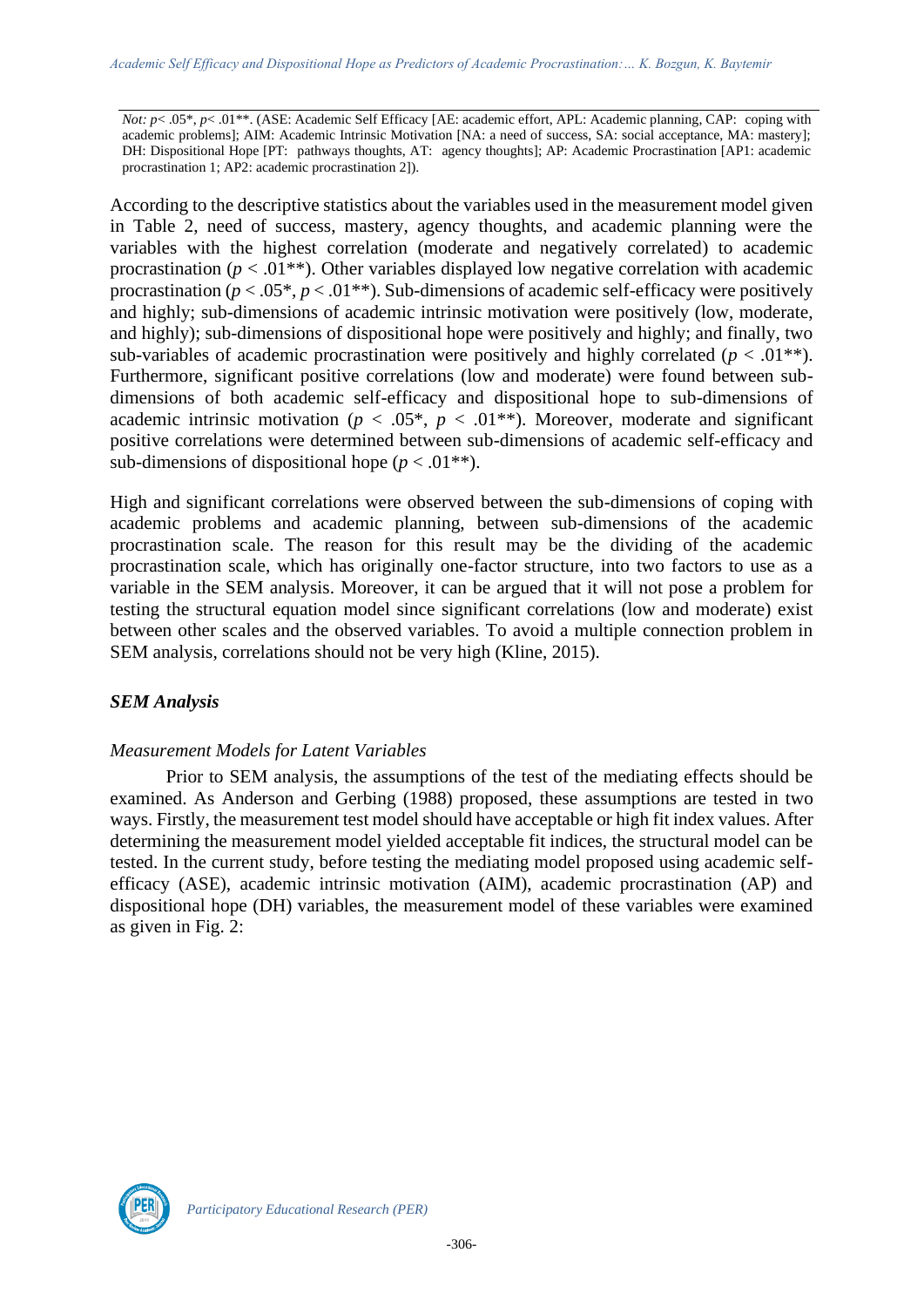*Not: p*< .05<sup>\*</sup>, *p*< .01<sup>\*\*</sup>. (ASE: Academic Self Efficacy [AE: academic effort, APL: Academic planning, CAP: coping with academic problems]; AIM: Academic Intrinsic Motivation [NA: a need of success, SA: social acceptance, MA: mastery]; DH: Dispositional Hope [PT: pathways thoughts, AT: agency thoughts]; AP: Academic Procrastination [AP1: academic procrastination 1; AP2: academic procrastination 2]).

According to the descriptive statistics about the variables used in the measurement model given in Table 2, need of success, mastery, agency thoughts, and academic planning were the variables with the highest correlation (moderate and negatively correlated) to academic procrastination ( $p < .01$ <sup>\*\*</sup>). Other variables displayed low negative correlation with academic procrastination ( $p < .05^*$ ,  $p < .01^{**}$ ). Sub-dimensions of academic self-efficacy were positively and highly; sub-dimensions of academic intrinsic motivation were positively (low, moderate, and highly); sub-dimensions of dispositional hope were positively and highly; and finally, two sub-variables of academic procrastination were positively and highly correlated ( $p < .01$ <sup>\*\*</sup>). Furthermore, significant positive correlations (low and moderate) were found between subdimensions of both academic self-efficacy and dispositional hope to sub-dimensions of academic intrinsic motivation ( $p < .05^*$ ,  $p < .01^{**}$ ). Moreover, moderate and significant positive correlations were determined between sub-dimensions of academic self-efficacy and sub-dimensions of dispositional hope  $(p < .01**)$ .

High and significant correlations were observed between the sub-dimensions of coping with academic problems and academic planning, between sub-dimensions of the academic procrastination scale. The reason for this result may be the dividing of the academic procrastination scale, which has originally one-factor structure, into two factors to use as a variable in the SEM analysis. Moreover, it can be argued that it will not pose a problem for testing the structural equation model since significant correlations (low and moderate) exist between other scales and the observed variables. To avoid a multiple connection problem in SEM analysis, correlations should not be very high (Kline, 2015).

## *SEM Analysis*

### *Measurement Models for Latent Variables*

Prior to SEM analysis, the assumptions of the test of the mediating effects should be examined. As Anderson and Gerbing (1988) proposed, these assumptions are tested in two ways. Firstly, the measurement test model should have acceptable or high fit index values. After determining the measurement model yielded acceptable fit indices, the structural model can be tested. In the current study, before testing the mediating model proposed using academic selfefficacy (ASE), academic intrinsic motivation (AIM), academic procrastination (AP) and dispositional hope (DH) variables, the measurement model of these variables were examined as given in Fig. 2:

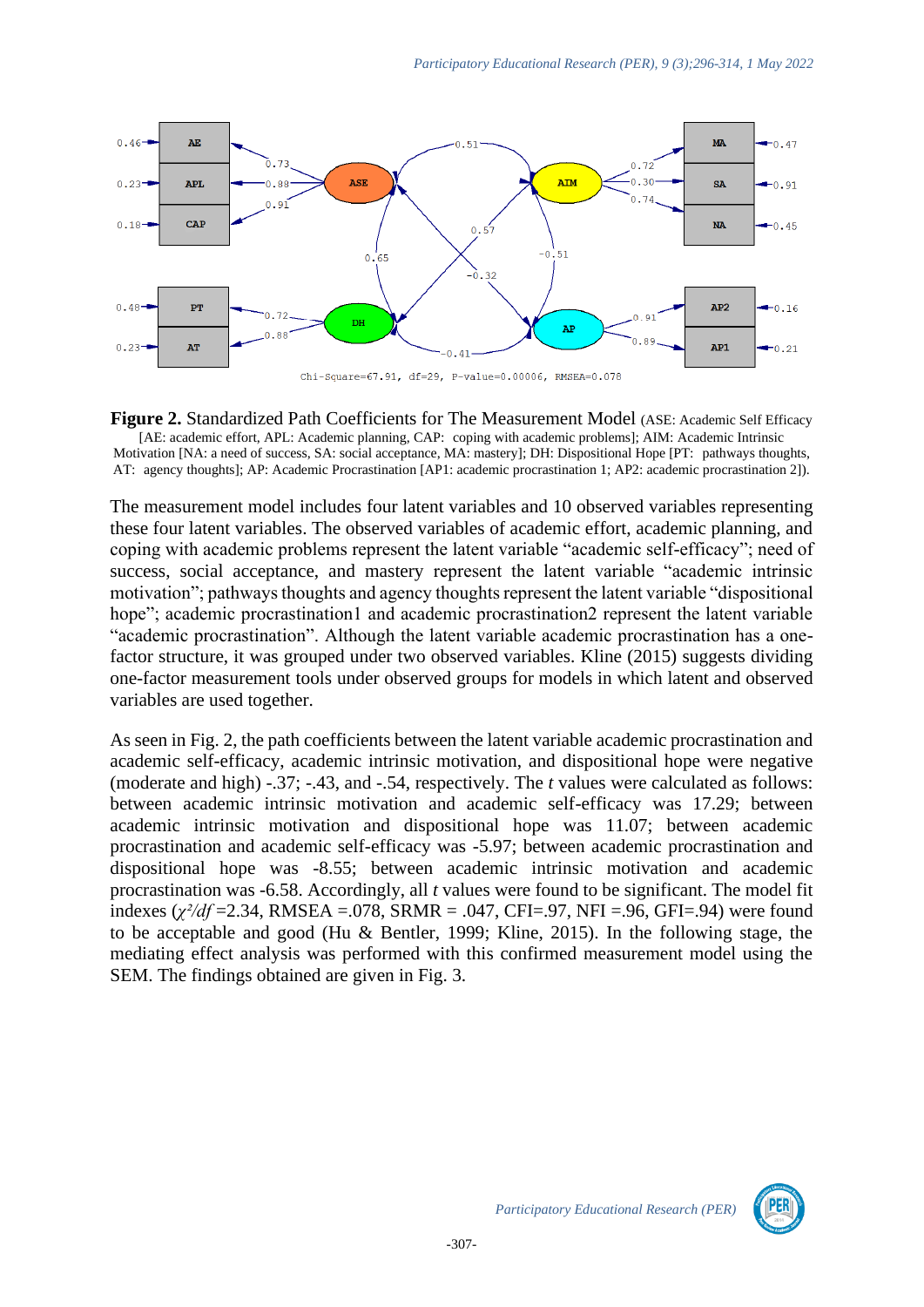

**Figure 2.** Standardized Path Coefficients for The Measurement Model (ASE: Academic Self Efficacy [AE: academic effort, APL: Academic planning, CAP: coping with academic problems]; AIM: Academic Intrinsic Motivation [NA: a need of success, SA: social acceptance, MA: mastery]; DH: Dispositional Hope [PT: pathways thoughts, AT: agency thoughts]; AP: Academic Procrastination [AP1: academic procrastination 1; AP2: academic procrastination 2]).

The measurement model includes four latent variables and 10 observed variables representing these four latent variables. The observed variables of academic effort, academic planning, and coping with academic problems represent the latent variable "academic self-efficacy"; need of success, social acceptance, and mastery represent the latent variable "academic intrinsic motivation"; pathways thoughts and agency thoughts represent the latent variable "dispositional hope"; academic procrastination1 and academic procrastination2 represent the latent variable "academic procrastination". Although the latent variable academic procrastination has a onefactor structure, it was grouped under two observed variables. Kline (2015) suggests dividing one-factor measurement tools under observed groups for models in which latent and observed variables are used together.

As seen in Fig. 2, the path coefficients between the latent variable academic procrastination and academic self-efficacy, academic intrinsic motivation, and dispositional hope were negative (moderate and high) -.37; -.43, and -.54, respectively. The *t* values were calculated as follows: between academic intrinsic motivation and academic self-efficacy was 17.29; between academic intrinsic motivation and dispositional hope was 11.07; between academic procrastination and academic self-efficacy was -5.97; between academic procrastination and dispositional hope was -8.55; between academic intrinsic motivation and academic procrastination was -6.58. Accordingly, all *t* values were found to be significant. The model fit indexes (*χ²/df* =2.34, RMSEA =.078, SRMR = .047, CFI=.97, NFI =.96, GFI=.94) were found to be acceptable and good (Hu & Bentler, 1999; Kline, 2015). In the following stage, the mediating effect analysis was performed with this confirmed measurement model using the SEM. The findings obtained are given in Fig. 3.

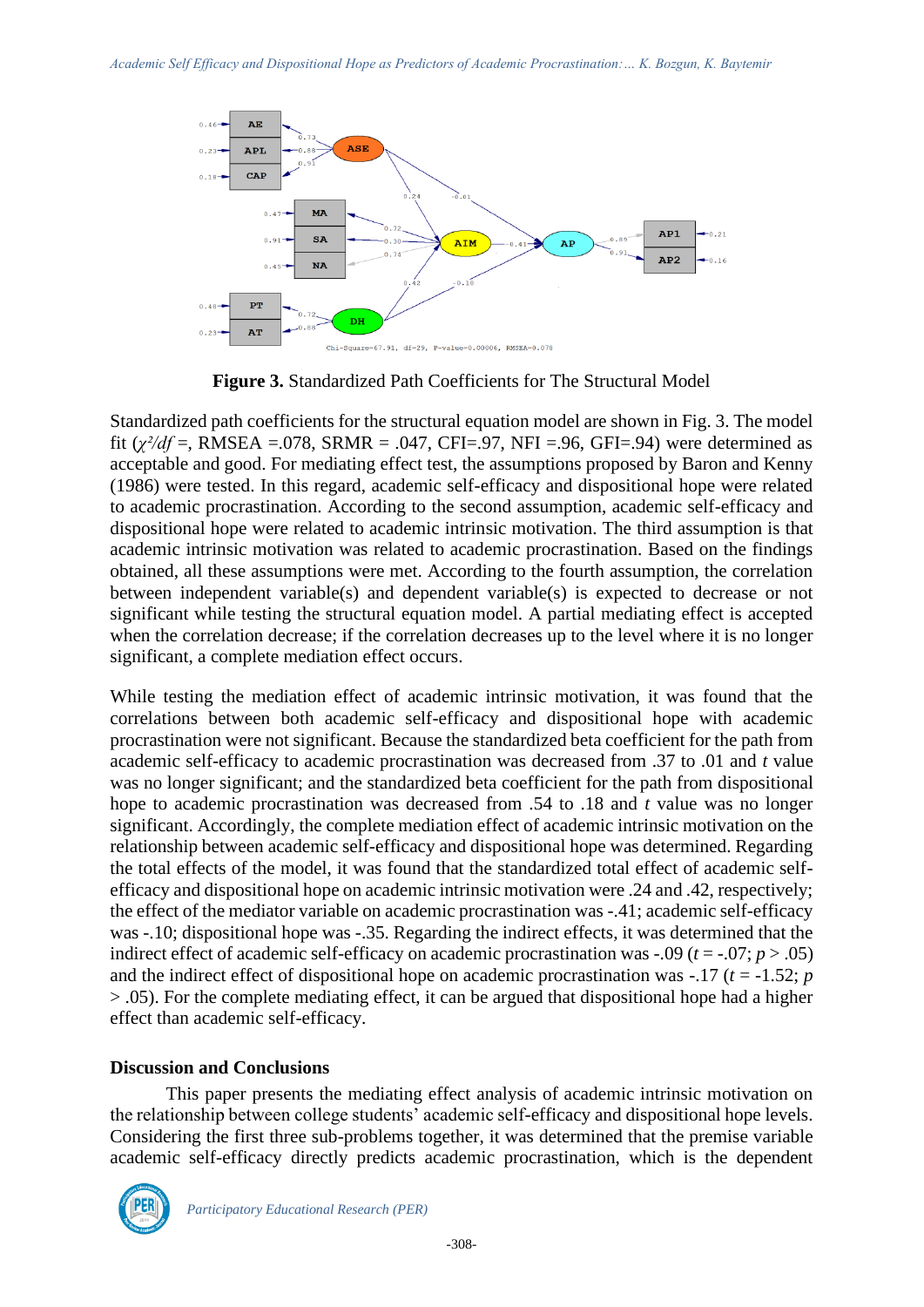

**Figure 3.** Standardized Path Coefficients for The Structural Model

Standardized path coefficients for the structural equation model are shown in Fig. 3. The model fit  $(\chi^2/df =, \text{RMSEA} = .078, \text{SRMR} = .047, \text{CFI} = .97, \text{NFI} = .96, \text{GFI} = .94)$  were determined as acceptable and good. For mediating effect test, the assumptions proposed by Baron and Kenny (1986) were tested. In this regard, academic self-efficacy and dispositional hope were related to academic procrastination. According to the second assumption, academic self-efficacy and dispositional hope were related to academic intrinsic motivation. The third assumption is that academic intrinsic motivation was related to academic procrastination. Based on the findings obtained, all these assumptions were met. According to the fourth assumption, the correlation between independent variable(s) and dependent variable(s) is expected to decrease or not significant while testing the structural equation model. A partial mediating effect is accepted when the correlation decrease; if the correlation decreases up to the level where it is no longer significant, a complete mediation effect occurs.

While testing the mediation effect of academic intrinsic motivation, it was found that the correlations between both academic self-efficacy and dispositional hope with academic procrastination were not significant. Because the standardized beta coefficient for the path from academic self-efficacy to academic procrastination was decreased from .37 to .01 and *t* value was no longer significant; and the standardized beta coefficient for the path from dispositional hope to academic procrastination was decreased from .54 to .18 and *t* value was no longer significant. Accordingly, the complete mediation effect of academic intrinsic motivation on the relationship between academic self-efficacy and dispositional hope was determined. Regarding the total effects of the model, it was found that the standardized total effect of academic selfefficacy and dispositional hope on academic intrinsic motivation were .24 and .42, respectively; the effect of the mediator variable on academic procrastination was -.41; academic self-efficacy was -.10; dispositional hope was -.35. Regarding the indirect effects, it was determined that the indirect effect of academic self-efficacy on academic procrastination was  $-0.09$  ( $t = -0.07$ ;  $p > 0.05$ ) and the indirect effect of dispositional hope on academic procrastination was  $-.17$  ( $t = -1.52$ ; *p* > .05). For the complete mediating effect, it can be argued that dispositional hope had a higher effect than academic self-efficacy.

### **Discussion and Conclusions**

This paper presents the mediating effect analysis of academic intrinsic motivation on the relationship between college students' academic self-efficacy and dispositional hope levels. Considering the first three sub-problems together, it was determined that the premise variable academic self-efficacy directly predicts academic procrastination, which is the dependent

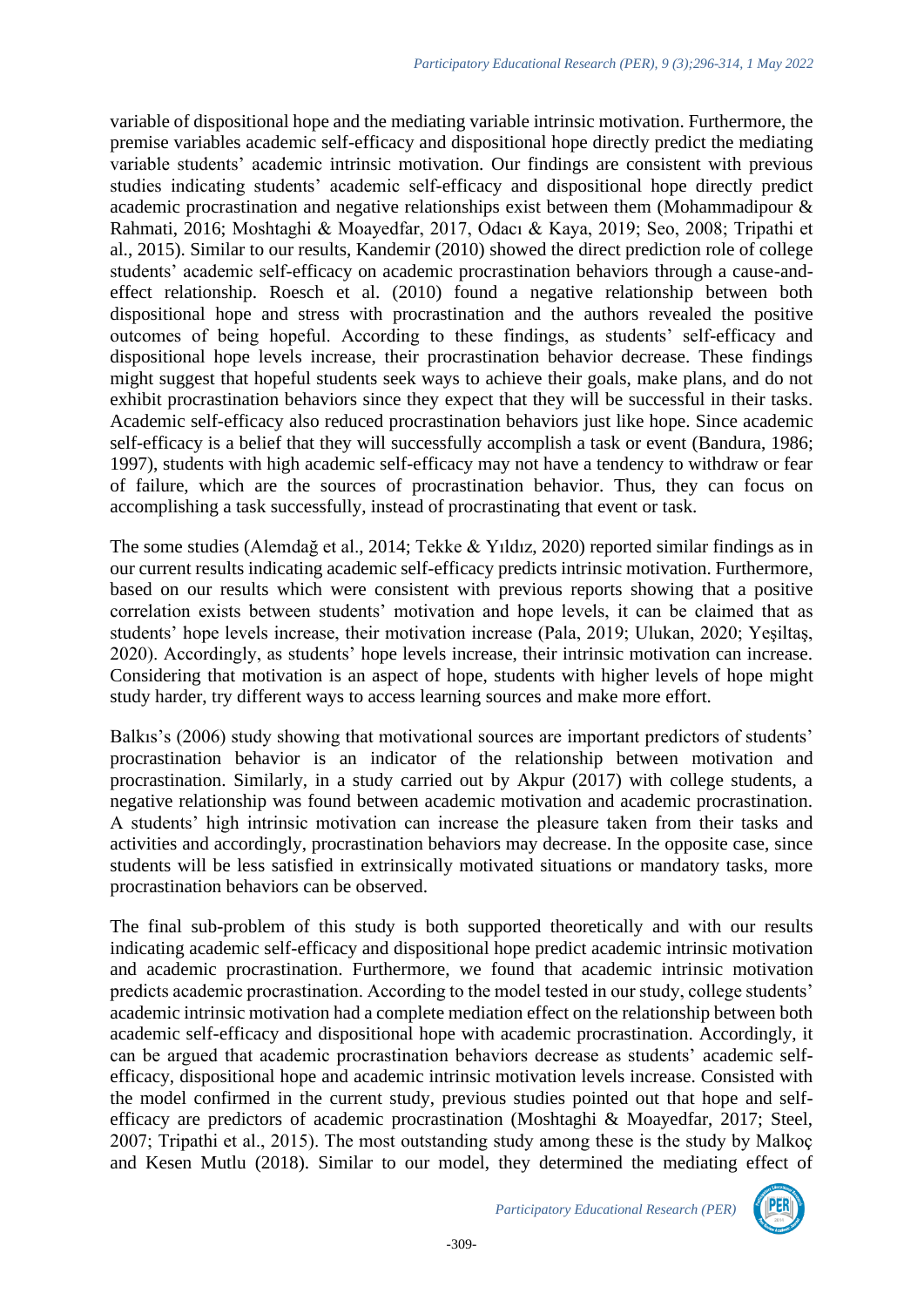variable of dispositional hope and the mediating variable intrinsic motivation. Furthermore, the premise variables academic self-efficacy and dispositional hope directly predict the mediating variable students' academic intrinsic motivation. Our findings are consistent with previous studies indicating students' academic self-efficacy and dispositional hope directly predict academic procrastination and negative relationships exist between them (Mohammadipour & Rahmati, 2016; Moshtaghi & Moayedfar, 2017, Odacı & Kaya, 2019; Seo, 2008; Tripathi et al., 2015). Similar to our results, Kandemir (2010) showed the direct prediction role of college students' academic self-efficacy on academic procrastination behaviors through a cause-andeffect relationship. Roesch et al. (2010) found a negative relationship between both dispositional hope and stress with procrastination and the authors revealed the positive outcomes of being hopeful. According to these findings, as students' self-efficacy and dispositional hope levels increase, their procrastination behavior decrease. These findings might suggest that hopeful students seek ways to achieve their goals, make plans, and do not exhibit procrastination behaviors since they expect that they will be successful in their tasks. Academic self-efficacy also reduced procrastination behaviors just like hope. Since academic self-efficacy is a belief that they will successfully accomplish a task or event (Bandura, 1986; 1997), students with high academic self-efficacy may not have a tendency to withdraw or fear of failure, which are the sources of procrastination behavior. Thus, they can focus on accomplishing a task successfully, instead of procrastinating that event or task.

The some studies (Alemdağ et al., 2014; Tekke & Yıldız, 2020) reported similar findings as in our current results indicating academic self-efficacy predicts intrinsic motivation. Furthermore, based on our results which were consistent with previous reports showing that a positive correlation exists between students' motivation and hope levels, it can be claimed that as students' hope levels increase, their motivation increase (Pala, 2019; Ulukan, 2020; Yeşiltaş, 2020). Accordingly, as students' hope levels increase, their intrinsic motivation can increase. Considering that motivation is an aspect of hope, students with higher levels of hope might study harder, try different ways to access learning sources and make more effort.

Balkıs's (2006) study showing that motivational sources are important predictors of students' procrastination behavior is an indicator of the relationship between motivation and procrastination. Similarly, in a study carried out by Akpur (2017) with college students, a negative relationship was found between academic motivation and academic procrastination. A students' high intrinsic motivation can increase the pleasure taken from their tasks and activities and accordingly, procrastination behaviors may decrease. In the opposite case, since students will be less satisfied in extrinsically motivated situations or mandatory tasks, more procrastination behaviors can be observed.

The final sub-problem of this study is both supported theoretically and with our results indicating academic self-efficacy and dispositional hope predict academic intrinsic motivation and academic procrastination. Furthermore, we found that academic intrinsic motivation predicts academic procrastination. According to the model tested in our study, college students' academic intrinsic motivation had a complete mediation effect on the relationship between both academic self-efficacy and dispositional hope with academic procrastination. Accordingly, it can be argued that academic procrastination behaviors decrease as students' academic selfefficacy, dispositional hope and academic intrinsic motivation levels increase. Consisted with the model confirmed in the current study, previous studies pointed out that hope and selfefficacy are predictors of academic procrastination (Moshtaghi & Moayedfar, 2017; Steel, 2007; Tripathi et al., 2015). The most outstanding study among these is the study by Malkoç and Kesen Mutlu (2018). Similar to our model, they determined the mediating effect of

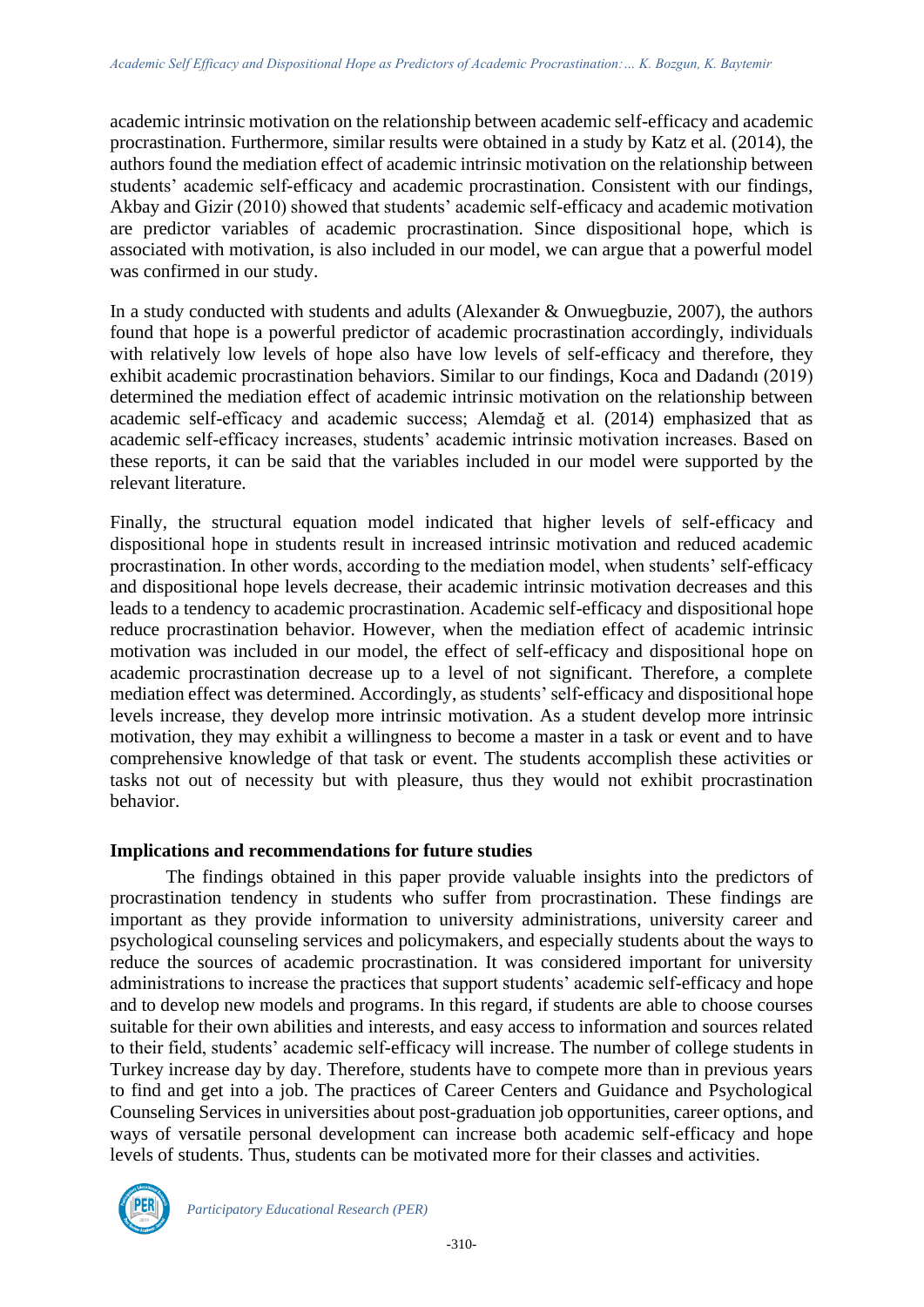academic intrinsic motivation on the relationship between academic self-efficacy and academic procrastination. Furthermore, similar results were obtained in a study by Katz et al. (2014), the authors found the mediation effect of academic intrinsic motivation on the relationship between students' academic self-efficacy and academic procrastination. Consistent with our findings, Akbay and Gizir (2010) showed that students' academic self-efficacy and academic motivation are predictor variables of academic procrastination. Since dispositional hope, which is associated with motivation, is also included in our model, we can argue that a powerful model was confirmed in our study.

In a study conducted with students and adults (Alexander & Onwuegbuzie, 2007), the authors found that hope is a powerful predictor of academic procrastination accordingly, individuals with relatively low levels of hope also have low levels of self-efficacy and therefore, they exhibit academic procrastination behaviors. Similar to our findings, Koca and Dadandı (2019) determined the mediation effect of academic intrinsic motivation on the relationship between academic self-efficacy and academic success; Alemdağ et al. (2014) emphasized that as academic self-efficacy increases, students' academic intrinsic motivation increases. Based on these reports, it can be said that the variables included in our model were supported by the relevant literature.

Finally, the structural equation model indicated that higher levels of self-efficacy and dispositional hope in students result in increased intrinsic motivation and reduced academic procrastination. In other words, according to the mediation model, when students' self-efficacy and dispositional hope levels decrease, their academic intrinsic motivation decreases and this leads to a tendency to academic procrastination. Academic self-efficacy and dispositional hope reduce procrastination behavior. However, when the mediation effect of academic intrinsic motivation was included in our model, the effect of self-efficacy and dispositional hope on academic procrastination decrease up to a level of not significant. Therefore, a complete mediation effect was determined. Accordingly, as students' self-efficacy and dispositional hope levels increase, they develop more intrinsic motivation. As a student develop more intrinsic motivation, they may exhibit a willingness to become a master in a task or event and to have comprehensive knowledge of that task or event. The students accomplish these activities or tasks not out of necessity but with pleasure, thus they would not exhibit procrastination behavior.

### **Implications and recommendations for future studies**

The findings obtained in this paper provide valuable insights into the predictors of procrastination tendency in students who suffer from procrastination. These findings are important as they provide information to university administrations, university career and psychological counseling services and policymakers, and especially students about the ways to reduce the sources of academic procrastination. It was considered important for university administrations to increase the practices that support students' academic self-efficacy and hope and to develop new models and programs. In this regard, if students are able to choose courses suitable for their own abilities and interests, and easy access to information and sources related to their field, students' academic self-efficacy will increase. The number of college students in Turkey increase day by day. Therefore, students have to compete more than in previous years to find and get into a job. The practices of Career Centers and Guidance and Psychological Counseling Services in universities about post-graduation job opportunities, career options, and ways of versatile personal development can increase both academic self-efficacy and hope levels of students. Thus, students can be motivated more for their classes and activities.

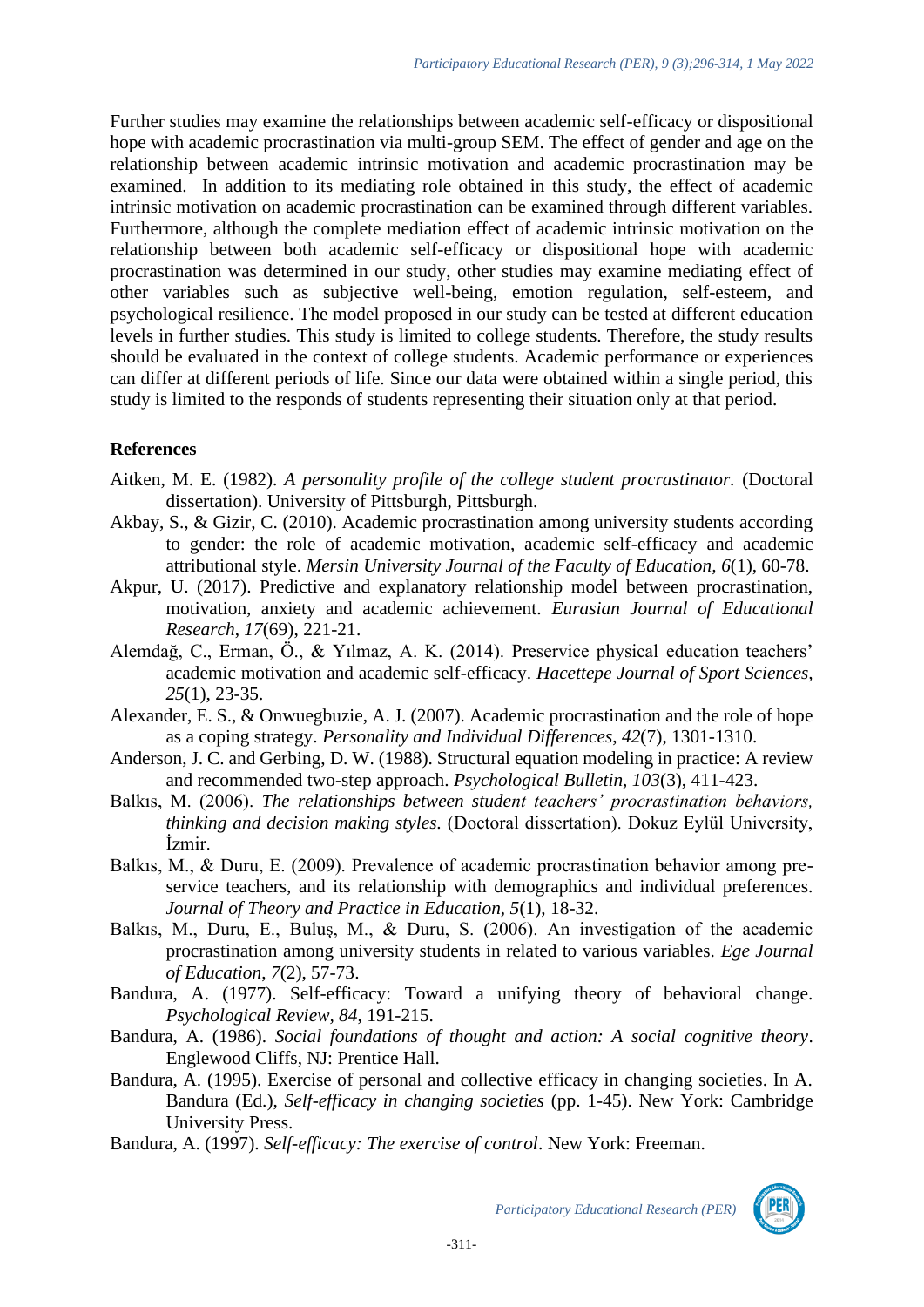Further studies may examine the relationships between academic self-efficacy or dispositional hope with academic procrastination via multi-group SEM. The effect of gender and age on the relationship between academic intrinsic motivation and academic procrastination may be examined. In addition to its mediating role obtained in this study, the effect of academic intrinsic motivation on academic procrastination can be examined through different variables. Furthermore, although the complete mediation effect of academic intrinsic motivation on the relationship between both academic self-efficacy or dispositional hope with academic procrastination was determined in our study, other studies may examine mediating effect of other variables such as subjective well-being, emotion regulation, self-esteem, and psychological resilience. The model proposed in our study can be tested at different education levels in further studies. This study is limited to college students. Therefore, the study results should be evaluated in the context of college students. Academic performance or experiences can differ at different periods of life. Since our data were obtained within a single period, this study is limited to the responds of students representing their situation only at that period.

## **References**

- Aitken, M. E. (1982). *A personality profile of the college student procrastinator.* (Doctoral dissertation). University of Pittsburgh, Pittsburgh.
- Akbay, S., & Gizir, C. (2010). Academic procrastination among university students according to gender: the role of academic motivation, academic self-efficacy and academic attributional style. *Mersin University Journal of the Faculty of Education, 6*(1), 60-78.
- Akpur, U. (2017). Predictive and explanatory relationship model between procrastination, motivation, anxiety and academic achievement. *Eurasian Journal of Educational Research*, *17*(69), 221-21.
- Alemdağ, C., Erman, Ö., & Yılmaz, A. K. (2014). Preservice physical education teachers' academic motivation and academic self-efficacy. *Hacettepe Journal of Sport Sciences, 25*(1), 23-35.
- Alexander, E. S., & Onwuegbuzie, A. J. (2007). Academic procrastination and the role of hope as a coping strategy. *Personality and Individual Differences*, *42*(7), 1301-1310.
- Anderson, J. C. and Gerbing, D. W. (1988). Structural equation modeling in practice: A review and recommended two-step approach. *Psychological Bulletin, 103*(3), 411-423.
- Balkıs, M. (2006). *The relationships between student teachers' procrastination behaviors, thinking and decision making styles.* (Doctoral dissertation). Dokuz Eylül University, İzmir.
- Balkıs, M., & Duru, E. (2009). Prevalence of academic procrastination behavior among preservice teachers, and its relationship with demographics and individual preferences. *Journal of Theory and Practice in Education, 5*(1), 18-32.
- Balkıs, M., Duru, E., Buluş, M., & Duru, S. (2006). An investigation of the academic procrastination among university students in related to various variables. *Ege Journal of Education*, *7*(2), 57-73.
- Bandura, A. (1977). Self-efficacy: Toward a unifying theory of behavioral change. *Psychological Review, 84*, 191-215.
- Bandura, A. (1986). *Social foundations of thought and action: A social cognitive theory*. Englewood Cliffs, NJ: Prentice Hall.
- Bandura, A. (1995). Exercise of personal and collective efficacy in changing societies. In A. Bandura (Ed.), *Self-efficacy in changing societies* (pp. 1-45). New York: Cambridge University Press.
- Bandura, A. (1997). *Self-efficacy: The exercise of control*. New York: Freeman.

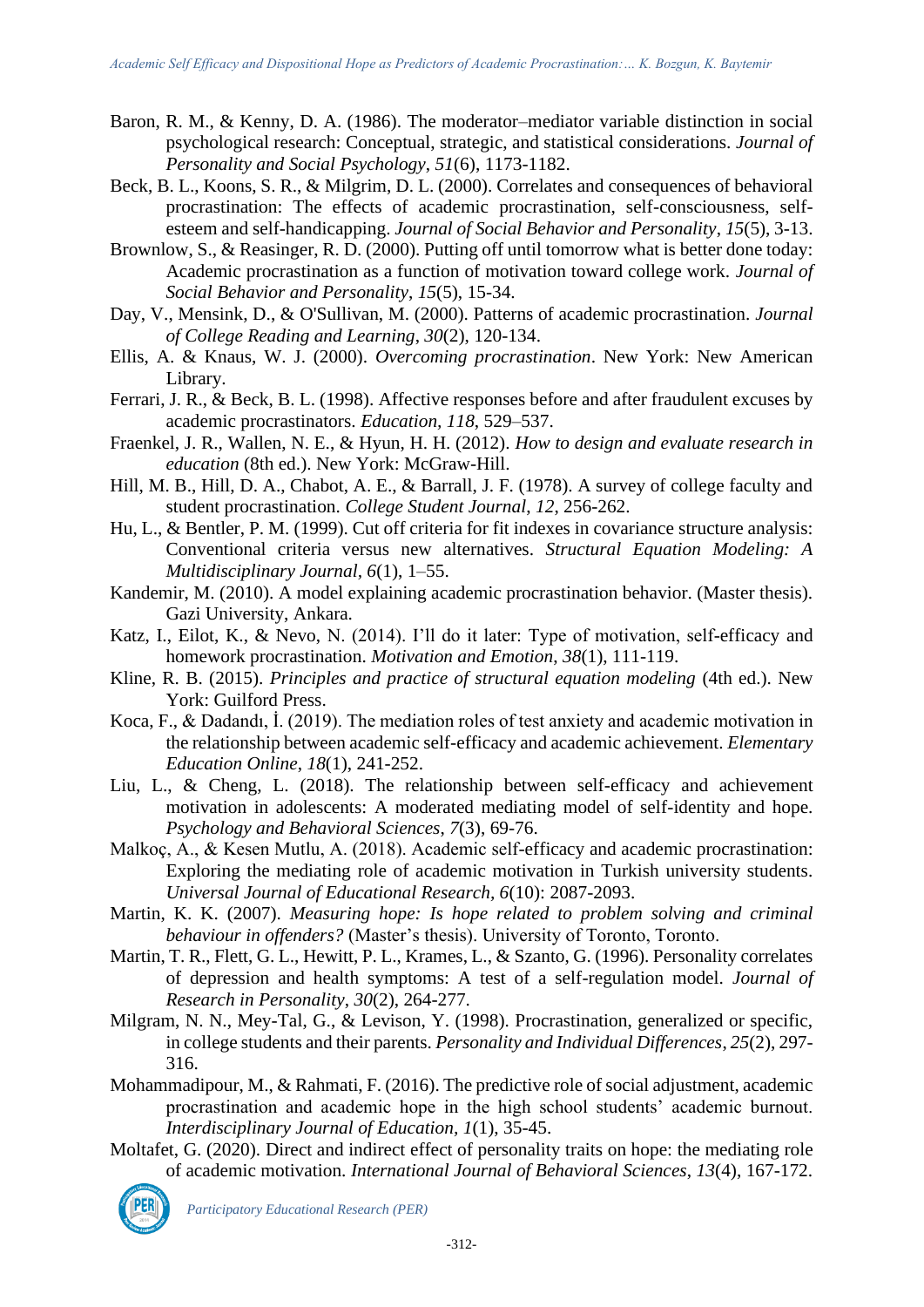- Baron, R. M., & Kenny, D. A. (1986). The moderator–mediator variable distinction in social psychological research: Conceptual, strategic, and statistical considerations. *Journal of Personality and Social Psychology*, *51*(6), 1173-1182.
- Beck, B. L., Koons, S. R., & Milgrim, D. L. (2000). Correlates and consequences of behavioral procrastination: The effects of academic procrastination, self-consciousness, selfesteem and self-handicapping. *Journal of Social Behavior and Personality*, *15*(5), 3-13.
- Brownlow, S., & Reasinger, R. D. (2000). Putting off until tomorrow what is better done today: Academic procrastination as a function of motivation toward college work. *Journal of Social Behavior and Personality*, *15*(5), 15-34.
- Day, V., Mensink, D., & O'Sullivan, M. (2000). Patterns of academic procrastination. *Journal of College Reading and Learning*, *30*(2), 120-134.
- Ellis, A. & Knaus, W. J. (2000). *Overcoming procrastination*. New York: New American Library.
- Ferrari, J. R., & Beck, B. L. (1998). Affective responses before and after fraudulent excuses by academic procrastinators. *Education, 118*, 529–537.
- Fraenkel, J. R., Wallen, N. E., & Hyun, H. H. (2012). *How to design and evaluate research in education* (8th ed.). New York: McGraw-Hill.
- Hill, M. B., Hill, D. A., Chabot, A. E., & Barrall, J. F. (1978). A survey of college faculty and student procrastination. *College Student Journal*, *12*, 256-262.
- Hu, L., & Bentler, P. M. (1999). Cut off criteria for fit indexes in covariance structure analysis: Conventional criteria versus new alternatives. *Structural Equation Modeling: A Multidisciplinary Journal, 6*(1), 1–55.
- Kandemir, M. (2010). A model explaining academic procrastination behavior. (Master thesis). Gazi University, Ankara.
- Katz, I., Eilot, K., & Nevo, N. (2014). I'll do it later: Type of motivation, self-efficacy and homework procrastination. *Motivation and Emotion*, *38*(1), 111-119.
- Kline, R. B. (2015). *Principles and practice of structural equation modeling* (4th ed.). New York: Guilford Press.
- Koca, F., & Dadandı, İ. (2019). The mediation roles of test anxiety and academic motivation in the relationship between academic self-efficacy and academic achievement. *Elementary Education Online*, *18*(1), 241-252.
- Liu, L., & Cheng, L. (2018). The relationship between self-efficacy and achievement motivation in adolescents: A moderated mediating model of self-identity and hope. *Psychology and Behavioral Sciences*, *7*(3), 69-76.
- Malkoç, A., & Kesen Mutlu, A. (2018). Academic self-efficacy and academic procrastination: Exploring the mediating role of academic motivation in Turkish university students*. Universal Journal of Educational Research, 6*(10): 2087-2093.
- Martin, K. K. (2007). *Measuring hope: Is hope related to problem solving and criminal behaviour in offenders?* (Master's thesis). University of Toronto, Toronto.
- Martin, T. R., Flett, G. L., Hewitt, P. L., Krames, L., & Szanto, G. (1996). Personality correlates of depression and health symptoms: A test of a self-regulation model. *Journal of Research in Personality*, *30*(2), 264-277.
- Milgram, N. N., Mey-Tal, G., & Levison, Y. (1998). Procrastination, generalized or specific, in college students and their parents. *Personality and Individual Differences*, *25*(2), 297- 316.
- Mohammadipour, M., & Rahmati, F. (2016). The predictive role of social adjustment, academic procrastination and academic hope in the high school students' academic burnout. *Interdisciplinary Journal of Education, 1*(1), 35-45.
- Moltafet, G. (2020). Direct and indirect effect of personality traits on hope: the mediating role of academic motivation. *International Journal of Behavioral Sciences*, *13*(4), 167-172.

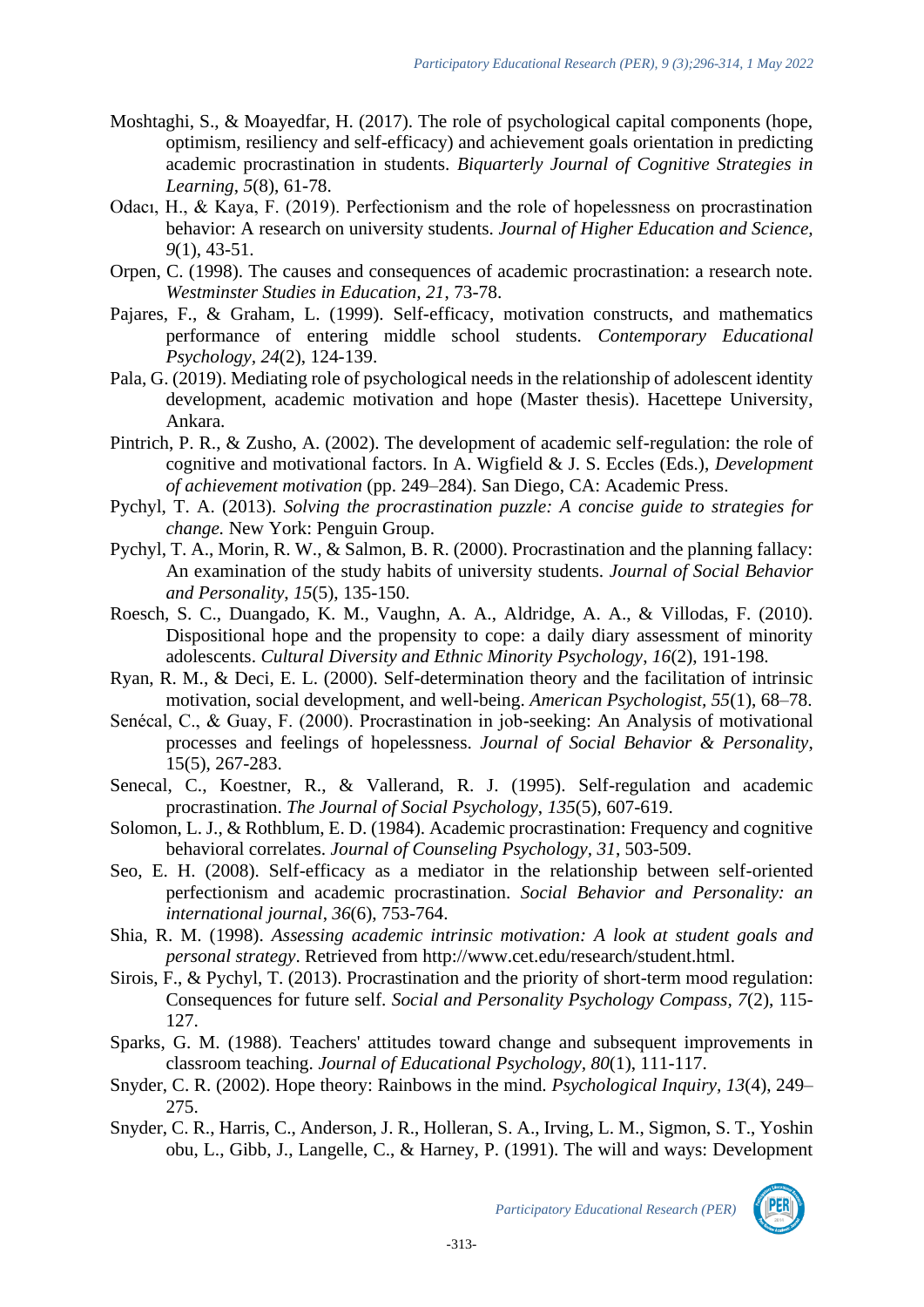- Moshtaghi, S., & Moayedfar, H. (2017). The role of psychological capital components (hope, optimism, resiliency and self-efficacy) and achievement goals orientation in predicting academic procrastination in students. *Biquarterly Journal of Cognitive Strategies in Learning*, *5*(8), 61-78.
- Odacı, H., & Kaya, F. (2019). Perfectionism and the role of hopelessness on procrastination behavior: A research on university students. *Journal of Higher Education and Science, 9*(1), 43-51.
- Orpen, C. (1998). The causes and consequences of academic procrastination: a research note. *Westminster Studies in Education, 21*, 73-78.
- Pajares, F., & Graham, L. (1999). Self-efficacy, motivation constructs, and mathematics performance of entering middle school students. *Contemporary Educational Psychology, 24*(2), 124-139.
- Pala, G. (2019). Mediating role of psychological needs in the relationship of adolescent identity development, academic motivation and hope (Master thesis). Hacettepe University, Ankara.
- Pintrich, P. R., & Zusho, A. (2002). The development of academic self-regulation: the role of cognitive and motivational factors. In A. Wigfield & J. S. Eccles (Eds.), *Development of achievement motivation* (pp. 249–284). San Diego, CA: Academic Press.
- Pychyl, T. A. (2013). *Solving the procrastination puzzle: A concise guide to strategies for change.* New York: Penguin Group.
- Pychyl, T. A., Morin, R. W., & Salmon, B. R. (2000). Procrastination and the planning fallacy: An examination of the study habits of university students. *Journal of Social Behavior and Personality*, *15*(5), 135-150.
- Roesch, S. C., Duangado, K. M., Vaughn, A. A., Aldridge, A. A., & Villodas, F. (2010). Dispositional hope and the propensity to cope: a daily diary assessment of minority adolescents. *Cultural Diversity and Ethnic Minority Psychology*, *16*(2), 191-198.
- Ryan, R. M., & Deci, E. L. (2000). Self-determination theory and the facilitation of intrinsic motivation, social development, and well-being. *American Psychologist, 55*(1), 68–78.
- Senécal, C., & Guay, F. (2000). Procrastination in job-seeking: An Analysis of motivational processes and feelings of hopelessness. *Journal of Social Behavior & Personality*, 15(5), 267-283.
- Senecal, C., Koestner, R., & Vallerand, R. J. (1995). Self-regulation and academic procrastination. *The Journal of Social Psychology*, *135*(5), 607-619.
- Solomon, L. J., & Rothblum, E. D. (1984). Academic procrastination: Frequency and cognitive behavioral correlates. *Journal of Counseling Psychology, 31*, 503-509.
- Seo, E. H. (2008). Self-efficacy as a mediator in the relationship between self-oriented perfectionism and academic procrastination. *Social Behavior and Personality: an international journal*, *36*(6), 753-764.
- Shia, R. M. (1998). *Assessing academic intrinsic motivation: A look at student goals and personal strategy*. Retrieved from http://www.cet.edu/research/student.html.
- Sirois, F., & Pychyl, T. (2013). Procrastination and the priority of short-term mood regulation: Consequences for future self. *Social and Personality Psychology Compass, 7*(2), 115- 127.
- Sparks, G. M. (1988). Teachers' attitudes toward change and subsequent improvements in classroom teaching. *Journal of Educational Psychology, 80*(1), 111-117.
- Snyder, C. R. (2002). Hope theory: Rainbows in the mind. *Psychological Inquiry, 13*(4), 249– 275.
- Snyder, C. R., Harris, C., Anderson, J. R., Holleran, S. A., Irving, L. M., Sigmon, S. T., Yoshin obu, L., Gibb, J., Langelle, C., & Harney, P. (1991). The will and ways: Development